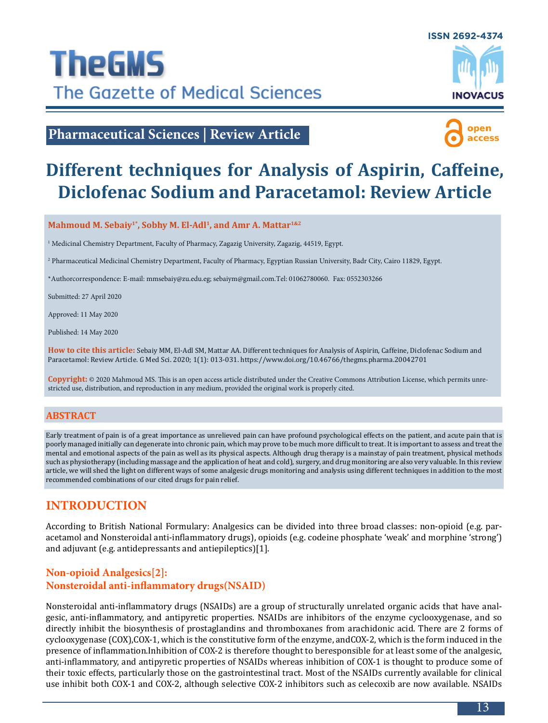

**Pharmaceutical Sciences | Review Article**



# **Different techniques for Analysis of Aspirin, Caffeine, Diclofenac Sodium and Paracetamol: Review Article**

Mahmoud M. Sebaiy<sup>1\*</sup>, Sobhy M. El-Adl<sup>1</sup>, and Amr A. Mattar<sup>1&2</sup>

1 Medicinal Chemistry Department, Faculty of Pharmacy, Zagazig University, Zagazig, 44519, Egypt.

2 Pharmaceutical Medicinal Chemistry Department, Faculty of Pharmacy, Egyptian Russian University, Badr City, Cairo 11829, Egypt.

\*Аuthоrcоrrеspоndеncе: Е-mаil: [mmsеbаiу@zu.еdu.еg;](mailto:mms%D0%B5b%D0%B0i%D1%83%40zu.%D0%B5du.%D0%B5g?subject=) [sеbаiуm@gmаil.cоm](mailto:s%D0%B5b%D0%B0i%D1%83m%40gm%D0%B0il.c%D0%BEm?subject=).Tеl: 01062780060. Fаx: 0552303266

Submitted: 27 April 2020

Approved: 11 May 2020

Published: 14 May 2020

**How to cite this article:** Sebaiy MM, El-Adl SM, Mattar AA. Different techniques for Analysis of Aspirin, Caffeine, Diclofenac Sodium and Paracetamol: Review Article. G Med Sci. 2020; 1(1): 013-031. https://www.doi.org/10.46766/thegms.pharma.20042701

**Copyright:** © 2020 Mahmoud MS. This is an open access article distributed under the Creative Commons Attribution License, which permits unrestricted use, distribution, and reproduction in any medium, provided the original work is properly cited.

#### **Abstract**

Early treatment of pain is of a great importance as unrelieved pain can have profound psychological effects on the patient, and acute pain that is poorly managed initially can degenerate into chronic pain, which may prove to be much more difficult to treat. It is important to assess and treat the mental and emotional aspects of the pain as well as its physical aspects. Although drug therapy is a mainstay of pain treatment, physical methods such as physiotherapy (including massage and the application of heat and cold), surgery, and drug monitoring are also very valuable. In this review article, we will shed the light on different ways of some analgesic drugs monitoring and analysis using different techniques in addition to the most recommended combinations of our cited drugs for pain relief.

# **INTRODUCTION**

According to British National Formulary: Analgesics can be divided into three broad classes: non-opioid (e.g. paracetamol and Nonsteroidal anti-inflammatory drugs), opioids (e.g. codeine phosphate 'weak' and morphine 'strong') and adjuvant (e.g. antidepressants and antiepileptics)[1].

# **Non-opioid Analgesics[2]: Nonsteroidal anti-inflammatory drugs(NSAID)**

Nonsteroidal anti-inflammatory drugs (NSAIDs) are a group of structurally unrelated organic acids that have analgesic, anti-inflammatory, and antipyretic properties. NSAIDs are inhibitors of the enzyme cyclooxygenase, and so directly inhibit the biosynthesis of prostaglandins and thromboxanes from arachidonic acid. There are 2 forms of cyclooxygenase (COX),COX-1, which is the constitutive form of the enzyme, andCOX-2, which is the form induced in the presence of inflammation.Inhibition of COX-2 is therefore thought to beresponsible for at least some of the analgesic, anti-inflammatory, and antipyretic properties of NSAIDs whereas inhibition of COX-1 is thought to produce some of their toxic effects, particularly those on the gastrointestinal tract. Most of the NSAIDs currently available for clinical use inhibit both COX-1 and COX-2, although selective COX-2 inhibitors such as celecoxib are now available. NSAIDs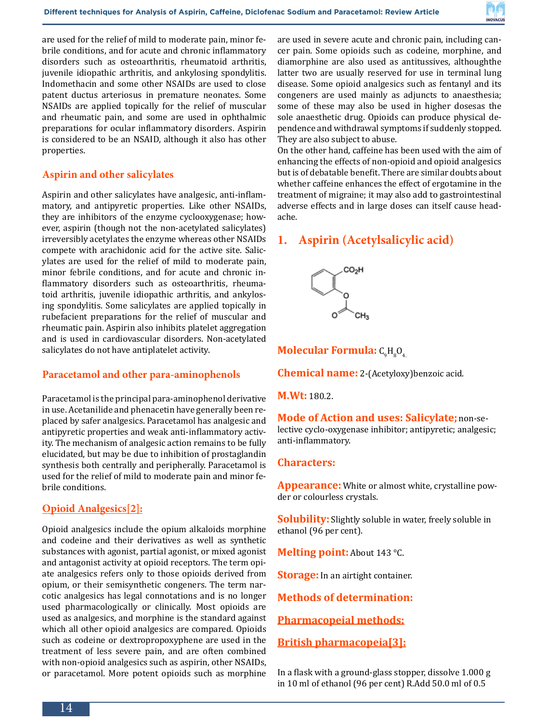

are used for the relief of mild to moderate pain, minor febrile conditions, and for acute and chronic inflammatory disorders such as osteoarthritis, rheumatoid arthritis, juvenile idiopathic arthritis, and ankylosing spondylitis. Indomethacin and some other NSAIDs are used to close patent ductus arteriosus in premature neonates. Some NSAIDs are applied topically for the relief of muscular and rheumatic pain, and some are used in ophthalmic preparations for ocular inflammatory disorders. Aspirin is considered to be an NSAID, although it also has other properties.

#### **Aspirin and other salicylates**

Aspirin and other salicylates have analgesic, anti-inflammatory, and antipyretic properties. Like other NSAIDs, they are inhibitors of the enzyme cyclooxygenase; however, aspirin (though not the non-acetylated salicylates) irreversibly acetylates the enzyme whereas other NSAIDs compete with arachidonic acid for the active site. Salicylates are used for the relief of mild to moderate pain, minor febrile conditions, and for acute and chronic inflammatory disorders such as osteoarthritis, rheumatoid arthritis, juvenile idiopathic arthritis, and ankylosing spondylitis. Some salicylates are applied topically in rubefacient preparations for the relief of muscular and rheumatic pain. Aspirin also inhibits platelet aggregation and is used in cardiovascular disorders. Non-acetylated salicylates do not have antiplatelet activity.

#### **Paracetamol and other para-aminophenols**

Paracetamol is the principal para-aminophenol derivative in use. Acetanilide and phenacetin have generally been replaced by safer analgesics. Paracetamol has analgesic and antipyretic properties and weak anti-inflammatory activity. The mechanism of analgesic action remains to be fully elucidated, but may be due to inhibition of prostaglandin synthesis both centrally and peripherally. Paracetamol is used for the relief of mild to moderate pain and minor febrile conditions.

## **Opioid Analgesics[2]:**

Opioid analgesics include the opium alkaloids morphine and codeine and their derivatives as well as synthetic substances with agonist, partial agonist, or mixed agonist and antagonist activity at opioid receptors. The term opiate analgesics refers only to those opioids derived from opium, or their semisynthetic congeners. The term narcotic analgesics has legal connotations and is no longer used pharmacologically or clinically. Most opioids are used as analgesics, and morphine is the standard against which all other opioid analgesics are compared. Opioids such as codeine or dextropropoxyphene are used in the treatment of less severe pain, and are often combined with non-opioid analgesics such as aspirin, other NSAIDs, or paracetamol. More potent opioids such as morphine

are used in severe acute and chronic pain, including cancer pain. Some opioids such as codeine, morphine, and diamorphine are also used as antitussives, althoughthe latter two are usually reserved for use in terminal lung disease. Some opioid analgesics such as fentanyl and its congeners are used mainly as adjuncts to anaesthesia; some of these may also be used in higher dosesas the sole anaesthetic drug. Opioids can produce physical dependence and withdrawal symptoms if suddenly stopped. They are also subject to abuse.

On the other hand, caffeine has been used with the aim of enhancing the effects of non-opioid and opioid analgesics but is of debatable benefit. There are similar doubts about whether caffeine enhances the effect of ergotamine in the treatment of migraine; it may also add to gastrointestinal adverse effects and in large doses can itself cause headache.

# **1. Aspirin (Acetylsalicylic acid)**



**Molecular Formula:** C<sub>9</sub>H<sub>8</sub>O<sub>4.</sub>

**Chemical name:** 2-(Acetyloxy)benzoic acid.

**M.Wt:** 180.2.

**Mode of Action and uses: Salicylate;** non-selective cyclo-oxygenase inhibitor; antipyretic; analgesic; anti-inflammatory.

#### **Characters:**

**Appearance:** White or almost white, crystalline powder or colourless crystals.

**Solubility:** Slightly soluble in water, freely soluble in ethanol (96 per cent).

**Melting point:** About 143 °C.

**Storage:** In an airtight container.

**Methods of determination:**

**Pharmacopeial methods:**

**British pharmacopeia[3]:**

In a flask with a ground-glass stopper, dissolve 1.000 g in 10 ml of ethanol (96 per cent) R.Add 50.0 ml of 0.5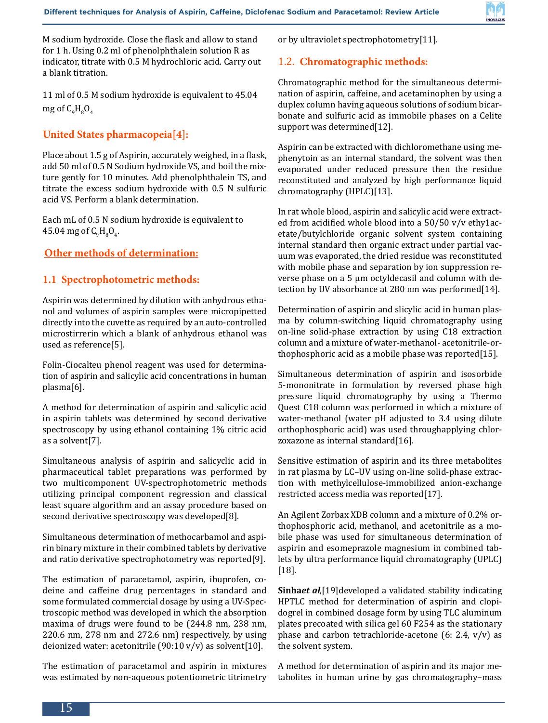

M sodium hydroxide. Close the flask and allow to stand for 1 h. Using 0.2 ml of phenolphthalein solution R as indicator, titrate with 0.5 M hydrochloric acid. Carry out a blank titration.

11 ml of 0.5 M sodium hydroxide is equivalent to 45.04 mg of  $C_9H_8O_4$ 

## **United States pharmacopeia[4]:**

Place about 1.5 g of Aspirin, accurately weighed, in a flask, add 50 ml of 0.5 N Sodium hydroxide VS, and boil the mixture gently for 10 minutes. Add phenolphthalein TS, and titrate the excess sodium hydroxide with 0.5 N sulfuric acid VS. Perform a blank determination.

Each mL of 0.5 N sodium hydroxide is equivalent to 45.04 mg of  $C_9H_8O_4$ .

# **Other methods of determination:**

#### **1.1 Spectrophotometric methods:**

Aspirin was determined by dilution with anhydrous ethanol and volumes of aspirin samples were micropipetted directly into the cuvette as required by an auto-controlled microstirrerin which a blank of anhydrous ethanol was used as reference[5].

Folin-Ciocalteu phenol reagent was used for determination of aspirin and salicylic acid concentrations in human plasma[6].

A method for determination of aspirin and salicylic acid in aspirin tablets was determined by second derivative spectroscopy by using ethanol containing 1% citric acid as a solvent[7].

Simultaneous analysis of aspirin and salicyclic acid in pharmaceutical tablet preparations was performed by two multicomponent UV-spectrophotometric methods utilizing principal component regression and classical least square algorithm and an assay procedure based on second derivative spectroscopy was developed[8].

Simultaneous determination of methocarbamol and aspirin binary mixture in their combined tablets by derivative and ratio derivative spectrophotometry was reported[9].

The estimation of paracetamol, aspirin, ibuprofen, codeine and caffeine drug percentages in standard and some formulated commercial dosage by using a UV-Spectroscopic method was developed in which the absorption maxima of drugs were found to be (244.8 nm, 238 nm, 220.6 nm, 278 nm and 272.6 nm) respectively, by using deionized water: acetonitrile  $(90:10 \text{ v/v})$  as solvent[10].

The estimation of paracetamol and aspirin in mixtures was estimated by non-aqueous potentiometric titrimetry or by ultraviolet spectrophotometry[11].

#### 1.2. **Chromatographic methods:**

Chromatographic method for the simultaneous determination of aspirin, caffeine, and acetaminophen by using a duplex column having aqueous solutions of sodium bicarbonate and sulfuric acid as immobile phases on a Celite support was determined[12].

Aspirin can be extracted with dichloromethane using mephenytoin as an internal standard, the solvent was then evaporated under reduced pressure then the residue reconstituted and analyzed by high performance liquid chromatography (HPLC)[13].

In rat whole blood, aspirin and salicylic acid were extracted from acidified whole blood into a 50/50 v/v ethy1acetate/butylchloride organic solvent system containing internal standard then organic extract under partial vacuum was evaporated, the dried residue was reconstituted with mobile phase and separation by ion suppression reverse phase on a 5 µm octyldecasil and column with detection by UV absorbance at 280 nm was performed[14].

Determination of aspirin and slicylic acid in human plasma by column-switching liquid chromatography using on-line solid-phase extraction by using C18 extraction column and a mixture of water-methanol- acetonitrile-orthophosphoric acid as a mobile phase was reported[15].

Simultaneous determination of aspirin and isosorbide 5-mononitrate in formulation by reversed phase high pressure liquid chromatography by using a Thermo Quest C18 column was performed in which a mixture of water-methanol (water pH adjusted to 3.4 using dilute orthophosphoric acid) was used throughapplying chlorzoxazone as internal standard[16].

Sensitive estimation of aspirin and its three metabolites in rat plasma by LC–UV using on-line solid-phase extraction with methylcellulose-immobilized anion-exchange restricted access media was reported[17].

An Agilent Zorbax XDB column and a mixture of 0.2% orthophosphoric acid, methanol, and acetonitrile as a mobile phase was used for simultaneous determination of aspirin and esomeprazole magnesium in combined tablets by ultra performance liquid chromatography (UPLC) [18].

**Sinha***et al*,[19]developed a validated stability indicating HPTLC method for determination of aspirin and clopidogrel in combined dosage form by using TLC aluminum plates precoated with silica gel 60 F254 as the stationary phase and carbon tetrachloride-acetone (6: 2.4,  $v/v$ ) as the solvent system.

A method for determination of aspirin and its major metabolites in human urine by gas chromatography–mass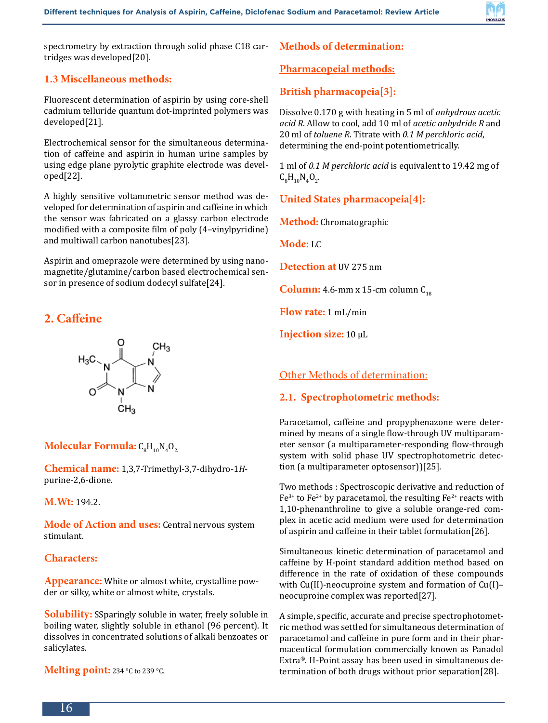

spectrometry by extraction through solid phase C18 cartridges was developed[20].

#### **1.3 Miscellaneous methods:**

Fluorescent determination of aspirin by using core-shell cadmium telluride quantum dot-imprinted polymers was developed[21].

Electrochemical sensor for the simultaneous determination of caffeine and aspirin in human urine samples by using edge plane pyrolytic graphite electrode was developed[22].

A highly sensitive voltammetric sensor method was developed for determination of aspirin and caffeine in which the sensor was fabricated on a glassy carbon electrode modified with a composite film of poly (4–vinylpyridine) and multiwall carbon nanotubes[23].

Aspirin and omeprazole were determined by using nanomagnetite/glutamine/carbon based electrochemical sensor in presence of sodium dodecyl sulfate[24].

# **2. Caffeine**



# M<mark>olecular Formula:</mark> C<sub>8</sub>H<sub>10</sub>N<sub>4</sub>O<sub>2</sub>

**Chemical name:** 1,3,7-Trimethyl-3,7-dihydro-1*H*purine-2,6-dione.

#### **M.Wt:** 194.2.

**Mode of Action and uses:** Central nervous system stimulant.

## **Characters:**

**Appearance:** White or almost white, crystalline powder or silky, white or almost white, crystals.

**Solubility:** SSparingly soluble in water, freely soluble in boiling water, slightly soluble in ethanol (96 percent). It dissolves in concentrated solutions of alkali benzoates or salicylates.

**Melting point:** 234 °C to 239 °C.

## **Methods of determination:**

**Pharmacopeial methods:**

## **British pharmacopeia[3]:**

Dissolve 0.170 g with heating in 5 ml of *anhydrous acetic acid R*. Allow to cool, add 10 ml of *acetic anhydride R* and 20 ml of *toluene R*. Titrate with *0.1 M perchloric acid*, determining the end-point potentiometrically.

1 ml of *0.1 M perchloric acid* is equivalent to 19.42 mg of  $C_8H_{10}N_4O_2.$ 

**United States pharmacopeia[4]:**

**Method:** Chromatographic

**Mode:** LC

**Detection at** UV 275 nm

**Column:** 4.6-mm x 15-cm column  $C_{18}$ 

**Flow rate:** 1 mL/min

**Injection size:** 10 µL

# Other Methods of determination:

## **2.1. Spectrophotometric methods:**

Paracetamol, caffeine and propyphenazone were determined by means of a single flow-through UV multiparameter sensor (a multiparameter-responding flow-through system with solid phase UV spectrophotometric detection (a multiparameter optosensor))[25].

Two methods : Spectroscopic derivative and reduction of  $Fe^{3+}$  to Fe<sup>2+</sup> by paracetamol, the resulting Fe<sup>2+</sup> reacts with 1,10-phenanthroline to give a soluble orange-red complex in acetic acid medium were used for determination of aspirin and caffeine in their tablet formulation[26].

Simultaneous kinetic determination of paracetamol and caffeine by H-point standard addition method based on difference in the rate of oxidation of these compounds with Cu(II)-neocuproine system and formation of Cu(I)– neocuproine complex was reported[27].

A simple, specific, accurate and precise spectrophotometric method was settled for simultaneous determination of paracetamol and caffeine in pure form and in their pharmaceutical formulation commercially known as Panadol Extra®. H-Point assay has been used in simultaneous determination of both drugs without prior separation[28].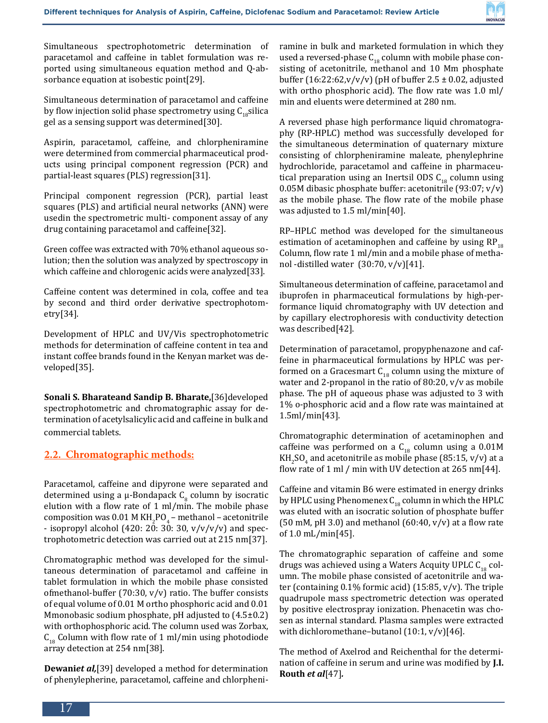

Simultaneous spectrophotometric determination of paracetamol and caffeine in tablet formulation was reported using simultaneous equation method and Q-absorbance equation at isobestic point[29].

Simultaneous determination of paracetamol and caffeine by flow injection solid phase spectrometry using  $C_{18}$ silica gel as a sensing support was determined[30].

Aspirin, paracetamol, caffeine, and chlorpheniramine were determined from commercial pharmaceutical products using principal component regression (PCR) and partial-least squares (PLS) regression[31].

Principal component regression (PCR), partial least squares (PLS) and artificial neural networks (ANN) were usedin the spectrometric multi- component assay of any drug containing paracetamol and caffeine[32].

Green coffee was extracted with 70% ethanol aqueous solution; then the solution was analyzed by spectroscopy in which caffeine and chlorogenic acids were analyzed[33].

Caffeine content was determined in cola, coffee and tea by second and third order derivative spectrophotometry[34].

Development of HPLC and UV/Vis spectrophotometric methods for determination of caffeine content in tea and instant coffee brands found in the Kenyan market was developed[35].

**Sonali S. Bharateand Sandip B. Bharate,**[36]developed spectrophotometric and chromatographic assay for determination of acetylsalicylic acid and caffeine in bulk and commercial tablets.

## **2.2. Chromatographic methods:**

Paracetamol, caffeine and dipyrone were separated and determined using a  $\mu$ -Bondapack  $C_8$  column by isocratic elution with a flow rate of 1 ml/min. The mobile phase composition was  $0.01$  M KH<sub>2</sub>PO<sub>4</sub> – methanol – acetonitrile - isopropyl alcohol (420: 20: 30: 30,  $v/v/v/v$ ) and spectrophotometric detection was carried out at 215 nm[37].

Chromatographic method was developed for the simultaneous determination of paracetamol and caffeine in tablet formulation in which the mobile phase consisted ofmethanol-buffer (70:30, v/v) ratio. The buffer consists of equal volume of 0.01 M ortho phosphoric acid and 0.01 Mmonobasic sodium phosphate, pH adjusted to (4.5±0.2) with orthophosphoric acid. The column used was Zorbax,  $C_{18}$  Column with flow rate of 1 ml/min using photodiode array detection at 254 nm[38].

**Dewaniet al,**[39] developed a method for determination of phenylepherine, paracetamol, caffeine and chlorpheni-

ramine in bulk and marketed formulation in which they used a reversed-phase  $C_{18}$  column with mobile phase consisting of acetonitrile, methanol and 10 Mm phosphate buffer  $(16:22:62,v/v/v)$  (pH of buffer  $2.5 \pm 0.02$ , adjusted with ortho phosphoric acid). The flow rate was 1.0 ml/ min and eluents were determined at 280 nm.

A reversed phase high performance liquid chromatography (RP-HPLC) method was successfully developed for the simultaneous determination of quaternary mixture consisting of chlorpheniramine maleate, phenylephrine hydrochloride, paracetamol and caffeine in pharmaceutical preparation using an Inertsil ODS  $C_{18}$  column using 0.05M dibasic phosphate buffer: acetonitrile (93:07; v/v) as the mobile phase. The flow rate of the mobile phase was adjusted to 1.5 ml/min[40].

RP–HPLC method was developed for the simultaneous estimation of acetaminophen and caffeine by using  $RP_{18}$ Column, flow rate 1 ml/min and a mobile phase of methanol -distilled water  $(30:70, v/v)[41]$ .

Simultaneous determination of caffeine, paracetamol and ibuprofen in pharmaceutical formulations by high-performance liquid chromatography with UV detection and by capillary electrophoresis with conductivity detection was described[42].

Determination of paracetamol, propyphenazone and caffeine in pharmaceutical formulations by HPLC was performed on a Gracesmart  $C_{18}$  column using the mixture of water and 2-propanol in the ratio of 80:20, v/v as mobile phase. The pH of aqueous phase was adjusted to 3 with 1% o-phosphoric acid and a flow rate was maintained at 1.5ml/min[43].

Chromatographic determination of acetaminophen and caffeine was performed on a  $C_{18}$  column using a 0.01M  $KH_{2}SO_{4}$  and acetonitrile as mobile phase (85:15, v/v) at a flow rate of 1 ml / min with UV detection at 265 nm[44].

Caffeine and vitamin B6 were estimated in energy drinks by HPLC using Phenomenex  $C_{18}$  column in which the HPLC was eluted with an isocratic solution of phosphate buffer (50 mM, pH 3.0) and methanol (60:40,  $v/v$ ) at a flow rate of 1.0 mL/min[45].

The chromatographic separation of caffeine and some drugs was achieved using a Waters Acquity UPLC  $C_{18}$  column. The mobile phase consisted of acetonitrile and water (containing 0.1% formic acid) (15:85, v/v). The triple quadrupole mass spectrometric detection was operated by positive electrospray ionization. Phenacetin was chosen as internal standard. Plasma samples were extracted with dichloromethane–butanol (10:1, v/v)[46].

The method of Axelrod and Reichenthal for the determination of caffeine in serum and urine was modified by **J.I. Routh** *et al*[47]*.*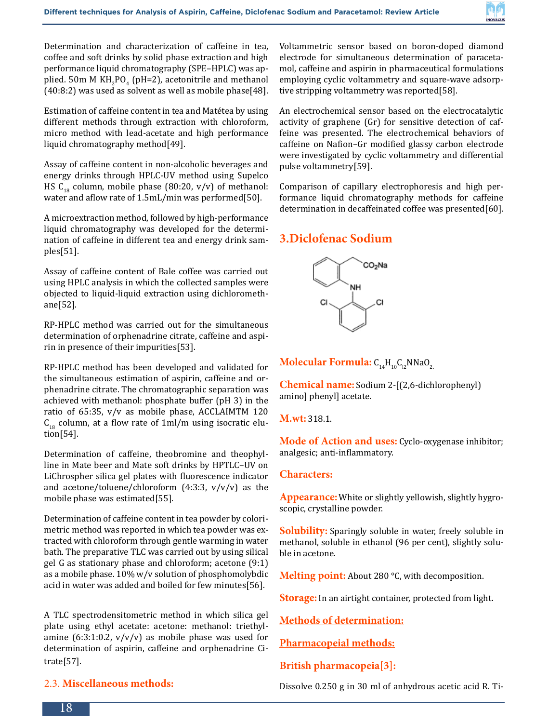

Determination and characterization of caffeine in tea, coffee and soft drinks by solid phase extraction and high performance liquid chromatography (SPE–HPLC) was applied. 50m M  $KH_{2}PO_{4}$  (pH=2), acetonitrile and methanol (40:8:2) was used as solvent as well as mobile phase[48].

Estimation of caffeine content in tea and Matétea by using different methods through extraction with chloroform, micro method with lead-acetate and high performance liquid chromatography method[49].

Assay of caffeine content in non-alcoholic beverages and energy drinks through HPLC-UV method using Supelco HS  $C_{18}$  column, mobile phase (80:20, v/v) of methanol: water and aflow rate of 1.5mL/min was performed[50].

A microextraction method, followed by high-performance liquid chromatography was developed for the determination of caffeine in different tea and energy drink samples[51].

Assay of caffeine content of Bale coffee was carried out using HPLC analysis in which the collected samples were objected to liquid-liquid extraction using dichloromethane[52].

RP-HPLC method was carried out for the simultaneous determination of orphenadrine citrate, caffeine and aspirin in presence of their impurities[53].

RP-HPLC method has been developed and validated for the simultaneous estimation of aspirin, caffeine and orphenadrine citrate. The chromatographic separation was achieved with methanol: phosphate buffer (pH 3) in the ratio of 65:35, v/v as mobile phase, ACCLAIMTM 120  $C_{18}$  column, at a flow rate of 1ml/m using isocratic elution[54].

Determination of caffeine, theobromine and theophylline in Mate beer and Mate soft drinks by HPTLC–UV on LiChrospher silica gel plates with fluorescence indicator and acetone/toluene/chloroform  $(4:3:3, v/v/v)$  as the mobile phase was estimated[55].

Determination of caffeine content in tea powder by colorimetric method was reported in which tea powder was extracted with chloroform through gentle warming in water bath. The preparative TLC was carried out by using silical gel G as stationary phase and chloroform; acetone (9:1) as a mobile phase. 10% w/v solution of phosphomolybdic acid in water was added and boiled for few minutes[56].

A TLC spectrodensitometric method in which silica gel plate using ethyl acetate: acetone: methanol: triethylamine (6:3:1:0.2,  $v/v/v$ ) as mobile phase was used for determination of aspirin, caffeine and orphenadrine Citrate[57].

2.3. **Miscellaneous methods:**

Voltammetric sensor based on boron-doped diamond electrode for simultaneous determination of paracetamol, caffeine and aspirin in pharmaceutical formulations employing cyclic voltammetry and square-wave adsorptive stripping voltammetry was reported[58].

An electrochemical sensor based on the electrocatalytic activity of graphene (Gr) for sensitive detection of caffeine was presented. The electrochemical behaviors of caffeine on Nafion–Gr modified glassy carbon electrode were investigated by cyclic voltammetry and differential pulse voltammetry[59].

Comparison of capillary electrophoresis and high performance liquid chromatography methods for caffeine determination in decaffeinated coffee was presented[60].

# **3.Diclofenac Sodium**



**Molecular Formula:** C<sub>14</sub>H<sub>10</sub>C<sub>12</sub>NNaO<sub>2</sub>

**Chemical name:** Sodium 2-[(2,6-dichlorophenyl) amino] phenyl] acetate.

**M.wt:** 318.1.

**Mode of Action and uses:** Cyclo-oxygenase inhibitor; analgesic; anti-inflammatory.

#### **Characters:**

**Appearance:** White or slightly yellowish, slightly hygroscopic, crystalline powder.

**Solubility:** Sparingly soluble in water, freely soluble in methanol, soluble in ethanol (96 per cent), slightly soluble in acetone.

**Melting point:** About 280 °C, with decomposition.

**Storage:** In an airtight container, protected from light.

**Methods of determination:**

**Pharmacopeial methods:**

# **British pharmacopeia[3]:**

Dissolve 0.250 g in 30 ml of anhydrous acetic acid R. Ti-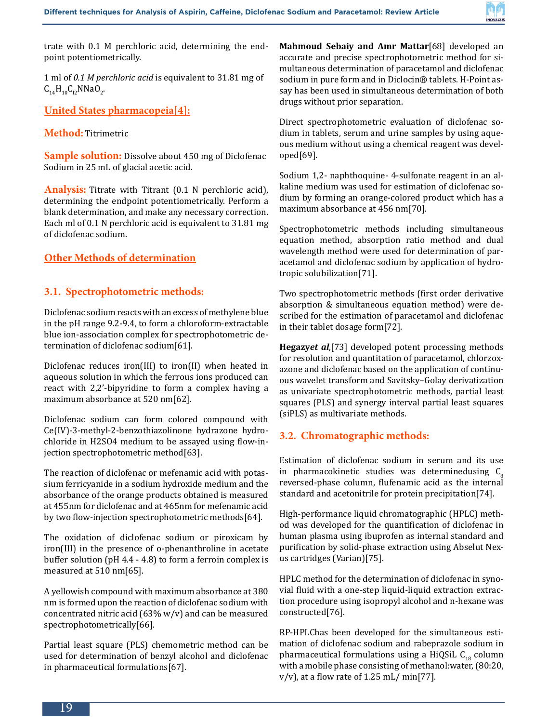

trate with 0.1 M perchloric acid, determining the endpoint potentiometrically.

1 ml of *0.1 M perchloric acid* is equivalent to 31.81 mg of  $C_{14}H_{10}C_{12}NNaO_{2}$ .

#### **United States pharmacopeia[4]:**

#### **Method:** Titrimetric

**Sample solution:** Dissolve about 450 mg of Diclofenac Sodium in 25 mL of glacial acetic acid.

**Analysis:** Titrate with Titrant (0.1 N perchloric acid), determining the endpoint potentiometrically. Perform a blank determination, and make any necessary correction. Each ml of 0.1 N perchloric acid is equivalent to 31.81 mg of diclofenac sodium.

#### **Other Methods of determination**

#### **3.1. Spectrophotometric methods:**

Diclofenac sodium reacts with an excess of methylene blue in the pH range 9.2-9.4, to form a chloroform-extractable blue ion-association complex for spectrophotometric determination of diclofenac sodium[61].

Diclofenac reduces iron(III) to iron(II) when heated in aqueous solution in which the ferrous ions produced can react with 2,2'-bipyridine to form a complex having a maximum absorbance at 520 nm[62].

Diclofenac sodium can form colored compound with Ce(IV)-3-methyl-2-benzothiazolinone hydrazone hydrochloride in H2SO4 medium to be assayed using flow-injection spectrophotometric method[63].

The reaction of diclofenac or mefenamic acid with potassium ferricyanide in a sodium hydroxide medium and the absorbance of the orange products obtained is measured at 455nm for diclofenac and at 465nm for mefenamic acid by two flow-injection spectrophotometric methods[64].

The oxidation of diclofenac sodium or piroxicam by iron(III) in the presence of o-phenanthroline in acetate buffer solution (pH 4.4 - 4.8) to form a ferroin complex is measured at 510 nm[65].

A yellowish compound with maximum absorbance at 380 nm is formed upon the reaction of diclofenac sodium with concentrated nitric acid (63% w/v) and can be measured spectrophotometrically[66].

Partial least square (PLS) chemometric method can be used for determination of benzyl alcohol and diclofenac in pharmaceutical formulations[67].

**Mahmoud Sebaiy and Amr Mattar**[68] developed an accurate and precise spectrophotometric method for simultaneous determination of paracetamol and diclofenac sodium in pure form and in Diclocin<sup>®</sup> tablets. H-Point assay has been used in simultaneous determination of both drugs without prior separation.

Direct spectrophotometric evaluation of diclofenac sodium in tablets, serum and urine samples by using aqueous medium without using a chemical reagent was developed[69].

Sodium 1,2- naphthoquine- 4-sulfonate reagent in an alkaline medium was used for estimation of diclofenac sodium by forming an orange-colored product which has a maximum absorbance at 456 nm[70].

Spectrophotometric methods including simultaneous equation method, absorption ratio method and dual wavelength method were used for determination of paracetamol and diclofenac sodium by application of hydrotropic solubilization[71].

Two spectrophotometric methods (first order derivative absorption & simultaneous equation method) were described for the estimation of paracetamol and diclofenac in their tablet dosage form[72].

**Hegazy***et al*,[73] developed potent processing methods for resolution and quantitation of paracetamol, chlorzoxazone and diclofenac based on the application of continuous wavelet transform and Savitsky–Golay derivatization as univariate spectrophotometric methods, partial least squares (PLS) and synergy interval partial least squares (siPLS) as multivariate methods.

#### **3.2. Chromatographic methods:**

Estimation of diclofenac sodium in serum and its use in pharmacokinetic studies was determinedusing  $C_0$ reversed-phase column, flufenamic acid as the internal standard and acetonitrile for protein precipitation[74].

High-performance liquid chromatographic (HPLC) method was developed for the quantification of diclofenac in human plasma using ibuprofen as internal standard and purification by solid-phase extraction using Abselut Nexus cartridges (Varian)[75].

HPLC method for the determination of diclofenac in synovial fluid with a one-step liquid-liquid extraction extraction procedure using isopropyl alcohol and n-hexane was constructed[76].

RP-HPLChas been developed for the simultaneous estimation of diclofenac sodium and rabeprazole sodium in pharmaceutical formulations using a HiQSiL  $C_{18}$  column with a mobile phase consisting of methanol:water, (80:20,  $v/v$ ), at a flow rate of 1.25 mL/ min[77].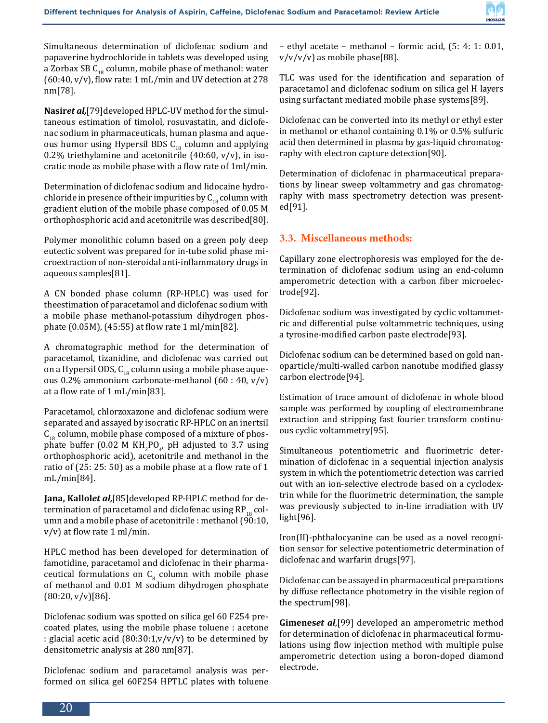

Simultaneous determination of diclofenac sodium and papaverine hydrochloride in tablets was developed using a Zorbax SB  $C_{18}$  column, mobile phase of methanol: water  $(60:40, v/v)$ , flow rate: 1 mL/min and UV detection at 278 nm[78].

**Nasir***et al,*[79]developed HPLC-UV method for the simultaneous estimation of timolol, rosuvastatin, and diclofenac sodium in pharmaceuticals, human plasma and aqueous humor using Hypersil BDS  $C_{18}$  column and applying 0.2% triethylamine and acetonitrile (40:60,  $v/v$ ), in isocratic mode as mobile phase with a flow rate of 1ml/min.

Determination of diclofenac sodium and lidocaine hydrochloride in presence of their impurities by  $C_{18}$  column with gradient elution of the mobile phase composed of 0.05 M orthophosphoric acid and acetonitrile was described[80].

Polymer monolithic column based on a green poly deep eutectic solvent was prepared for in-tube solid phase microextraction of non-steroidal anti-inflammatory drugs in aqueous samples[81].

A CN bonded phase column (RP-HPLC) was used for theestimation of paracetamol and diclofenac sodium with a mobile phase methanol-potassium dihydrogen phosphate (0.05M), (45:55) at flow rate 1 ml/min[82].

A chromatographic method for the determination of paracetamol, tizanidine, and diclofenac was carried out on a Hypersil ODS,  $C_{18}$  column using a mobile phase aqueous 0.2% ammonium carbonate-methanol (60 : 40, v/v) at a flow rate of 1 mL/min[83].

Paracetamol, chlorzoxazone and diclofenac sodium were separated and assayed by isocratic RP-HPLC on an inertsil  $C_{18}$  column, mobile phase composed of a mixture of phosphate buffer (0.02 M  $KH_{2}PO_{4}$ , pH adjusted to 3.7 using orthophosphoric acid), acetonitrile and methanol in the ratio of (25: 25: 50) as a mobile phase at a flow rate of 1 mL/min[84].

**Jana, Kallol***et al,*[85]developed RP-HPLC method for determination of paracetamol and diclofenac using  $RP_{18}$  column and a mobile phase of acetonitrile : methanol (90:10, v/v) at flow rate 1 ml/min.

HPLC method has been developed for determination of famotidine, paracetamol and diclofenac in their pharmaceutical formulations on  $C_8$  column with mobile phase of methanol and 0.01 M sodium dihydrogen phosphate  $(80:20, v/v)[86]$ .

Diclofenac sodium was spotted on silica gel 60 F254 precoated plates, using the mobile phase toluene : acetone : glacial acetic acid (80:30:1,v/v/v) to be determined by densitometric analysis at 280 nm[87].

Diclofenac sodium and paracetamol analysis was performed on silica gel 60F254 HPTLC plates with toluene – ethyl acetate – methanol – formic acid, (5: 4: 1: 0.01,  $v/v/v/v$  as mobile phase[88].

TLC was used for the identification and separation of paracetamol and diclofenac sodium on silica gel H layers using surfactant mediated mobile phase systems[89].

Diclofenac can be converted into its methyl or ethyl ester in methanol or ethanol containing 0.1% or 0.5% sulfuric acid then determined in plasma by gas-liquid chromatography with electron capture detection[90].

Determination of diclofenac in pharmaceutical preparations by linear sweep voltammetry and gas chromatography with mass spectrometry detection was presented[91].

## **3.3. Miscellaneous methods:**

Capillary zone electrophoresis was employed for the determination of diclofenac sodium using an end-column amperometric detection with a carbon fiber microelectrode[92].

Diclofenac sodium was investigated by cyclic voltammetric and differential pulse voltammetric techniques, using a tyrosine-modified carbon paste electrode[93].

Diclofenac sodium can be determined based on gold nanoparticle/multi-walled carbon nanotube modified glassy carbon electrode[94].

Estimation of trace amount of diclofenac in whole blood sample was performed by coupling of electromembrane extraction and stripping fast fourier transform continuous cyclic voltammetry[95].

Simultaneous potentiometric and fluorimetric determination of diclofenac in a sequential injection analysis system in which the potentiometric detection was carried out with an ion-selective electrode based on a cyclodextrin while for the fluorimetric determination, the sample was previously subjected to in-line irradiation with UV light[96].

Iron(II)-phthalocyanine can be used as a novel recognition sensor for selective potentiometric determination of diclofenac and warfarin drugs[97].

Diclofenac can be assayed in pharmaceutical preparations by diffuse reflectance photometry in the visible region of the spectrum[98].

**Gimenes***et al*,[99] developed an amperometric method for determination of diclofenac in pharmaceutical formulations using flow injection method with multiple pulse amperometric detection using a boron-doped diamond electrode.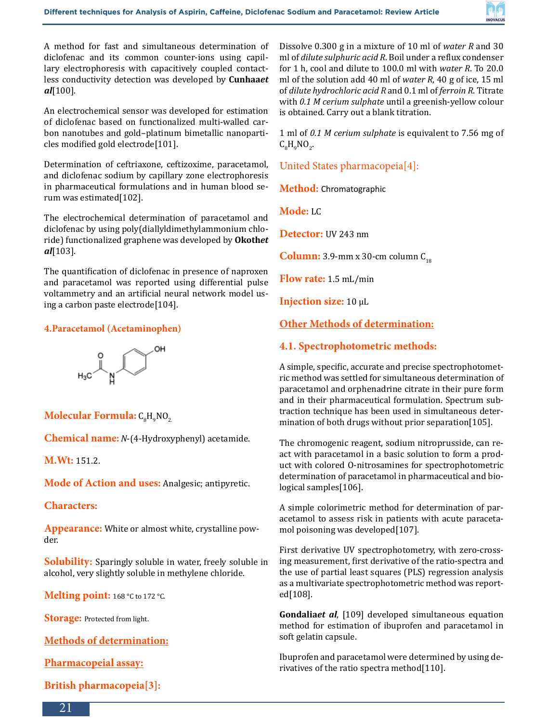

A method for fast and simultaneous determination of diclofenac and its common counter-ions using capillary electrophoresis with capacitively coupled contactless conductivity detection was developed by **Cunhaa***et al*[100].

An electrochemical sensor was developed for estimation of diclofenac based on functionalized multi-walled carbon nanotubes and gold–platinum bimetallic nanoparticles modified gold electrode[101].

Determination of ceftriaxone, ceftizoxime, paracetamol, and diclofenac sodium by capillary zone electrophoresis in pharmaceutical formulations and in human blood serum was estimated[102].

The electrochemical determination of paracetamol and diclofenac by using poly(diallyldimethylammonium chloride) functionalized graphene was developed by **Okoth***et al*[103].

The quantification of diclofenac in presence of naproxen and paracetamol was reported using differential pulse voltammetry and an artificial neural network model using a carbon paste electrode[104].

#### **4.Paracetamol (Acetaminophen)**



# **Molecular Formula:** C<sub>8</sub>H<sub>9</sub>NO<sub>2.</sub>

**Chemical name:** *N*-(4-Hydroxyphenyl) acetamide.

**M.Wt:** 151.2.

**Mode of Action and uses:** Analgesic; antipyretic.

#### **Characters:**

**Appearance:** White or almost white, crystalline powder.

**Solubility:** Sparingly soluble in water, freely soluble in alcohol, very slightly soluble in methylene chloride.

**Melting point:** 168 °C to 172 °C.

**Storage:** Protected from light.

**Methods of determination:**

**Pharmacopeial assay:**

**British pharmacopeia[3]:**

Dissolve 0.300 g in a mixture of 10 ml of *water R* and 30 ml of *dilute sulphuric acid R*. Boil under a reflux condenser for 1 h, cool and dilute to 100.0 ml with *water R*. To 20.0 ml of the solution add 40 ml of *water R*, 40 g of ice, 15 ml of *dilute hydrochloric acid R* and 0.1 ml of *ferroin R*. Titrate with *0.1 M cerium sulphate* until a greenish-yellow colour is obtained. Carry out a blank titration.

1 ml of *0.1 M cerium sulphate* is equivalent to 7.56 mg of  $C_8H_9NO_2.$ 

United States pharmacopeia[4]:

**Method:** Chromatographic

**Mode:** LC

**Detector:** UV 243 nm

**Column:** 3.9-mm x 30-cm column  $C_{18}$ 

**Flow rate:** 1.5 mL/min

**Injection size:** 10 µL

## **Other Methods of determination:**

## **4.1. Spectrophotometric methods:**

A simple, specific, accurate and precise spectrophotometric method was settled for simultaneous determination of paracetamol and orphenadrine citrate in their pure form and in their pharmaceutical formulation. Spectrum subtraction technique has been used in simultaneous determination of both drugs without prior separation[105].

The chromogenic reagent, sodium nitroprusside, can react with paracetamol in a basic solution to form a product with colored O-nitrosamines for spectrophotometric determination of paracetamol in pharmaceutical and biological samples[106].

A simple colorimetric method for determination of paracetamol to assess risk in patients with acute paracetamol poisoning was developed[107].

First derivative UV spectrophotometry, with zero-crossing measurement, first derivative of the ratio-spectra and the use of partial least squares (PLS) regression analysis as a multivariate spectrophotometric method was reported[108].

**Gondalia***et al*, [109] developed simultaneous equation method for estimation of ibuprofen and paracetamol in soft gelatin capsule.

Ibuprofen and paracetamol were determined by using derivatives of the ratio spectra method[110].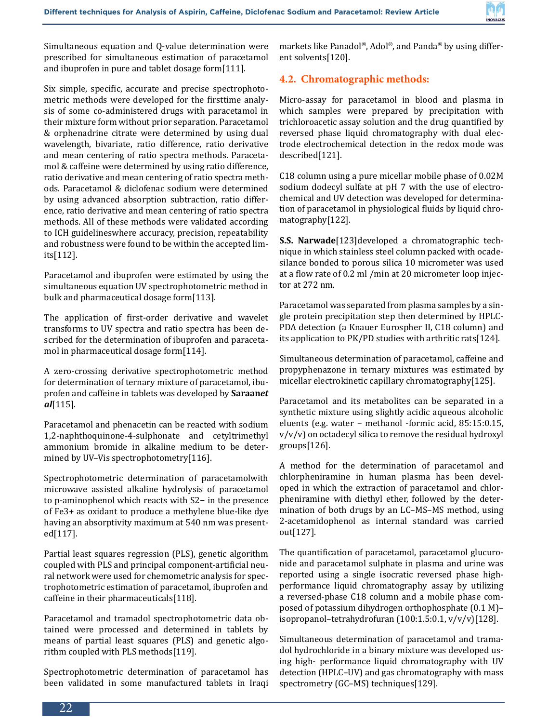

Simultaneous equation and Q-value determination were prescribed for simultaneous estimation of paracetamol and ibuprofen in pure and tablet dosage form[111].

Six simple, specific, accurate and precise spectrophotometric methods were developed for the firsttime analysis of some co-administered drugs with paracetamol in their mixture form without prior separation. Paracetamol & orphenadrine citrate were determined by using dual wavelength, bivariate, ratio difference, ratio derivative and mean centering of ratio spectra methods. Paracetamol & caffeine were determined by using ratio difference, ratio derivative and mean centering of ratio spectra methods. Paracetamol & diclofenac sodium were determined by using advanced absorption subtraction, ratio difference, ratio derivative and mean centering of ratio spectra methods. All of these methods were validated according to ICH guidelineswhere accuracy, precision, repeatability and robustness were found to be within the accepted limits[112].

Paracetamol and ibuprofen were estimated by using the simultaneous equation UV spectrophotometric method in bulk and pharmaceutical dosage form[113].

The application of first-order derivative and wavelet transforms to UV spectra and ratio spectra has been described for the determination of ibuprofen and paracetamol in pharmaceutical dosage form[114].

A zero-crossing derivative spectrophotometric method for determination of ternary mixture of paracetamol, ibuprofen and caffeine in tablets was developed by **Saraan***et al*[115].

Paracetamol and phenacetin can be reacted with sodium 1,2-naphthoquinone-4-sulphonate and cetyltrimethyl ammonium bromide in alkaline medium to be determined by UV–Vis spectrophotometry[116].

Spectrophotometric determination of paracetamolwith microwave assisted alkaline hydrolysis of paracetamol to p-aminophenol which reacts with S2− in the presence of Fe3+ as oxidant to produce a methylene blue-like dye having an absorptivity maximum at 540 nm was presented[117].

Partial least squares regression (PLS), genetic algorithm coupled with PLS and principal component-artificial neural network were used for chemometric analysis for spectrophotometric estimation of paracetamol, ibuprofen and caffeine in their pharmaceuticals[118].

Paracetamol and tramadol spectrophotometric data obtained were processed and determined in tablets by means of partial least squares (PLS) and genetic algorithm coupled with PLS methods[119].

Spectrophotometric determination of paracetamol has been validated in some manufactured tablets in Iraqi

markets like Panadol®, Adol®, and Panda® by using different solvents[120].

## **4.2. Chromatographic methods:**

Micro-assay for paracetamol in blood and plasma in which samples were prepared by precipitation with trichloroacetic assay solution and the drug quantified by reversed phase liquid chromatography with dual electrode electrochemical detection in the redox mode was described[121].

C18 column using a pure micellar mobile phase of 0.02M sodium dodecyl sulfate at pH 7 with the use of electrochemical and UV detection was developed for determination of paracetamol in physiological fluids by liquid chromatography[122].

**S.S. Narwade**[123]developed a chromatographic technique in which stainless steel column packed with ocadesilance bonded to porous silica 10 micrometer was used at a flow rate of 0.2 ml /min at 20 micrometer loop injector at 272 nm.

Paracetamol was separated from plasma samples by a single protein precipitation step then determined by HPLC-PDA detection (a Knauer Eurospher II, C18 column) and its application to PK/PD studies with arthritic rats[124].

Simultaneous determination of paracetamol, caffeine and propyphenazone in ternary mixtures was estimated by micellar electrokinetic capillary chromatography[125].

Paracetamol and its metabolites can be separated in a synthetic mixture using slightly acidic aqueous alcoholic eluents (e.g. water – methanol -formic acid, 85:15:0.15, v/v/v) on octadecyl silica to remove the residual hydroxyl groups[126].

A method for the determination of paracetamol and chlorpheniramine in human plasma has been developed in which the extraction of paracetamol and chlorpheniramine with diethyl ether, followed by the determination of both drugs by an LC–MS–MS method, using 2-acetamidophenol as internal standard was carried out[127].

The quantification of paracetamol, paracetamol glucuronide and paracetamol sulphate in plasma and urine was reported using a single isocratic reversed phase highperformance liquid chromatography assay by utilizing a reversed-phase C18 column and a mobile phase composed of potassium dihydrogen orthophosphate (0.1 M)– isopropanol–tetrahydrofuran (100:1.5:0.1, v/v/v)[128].

Simultaneous determination of paracetamol and tramadol hydrochloride in a binary mixture was developed using high- performance liquid chromatography with UV detection (HPLC–UV) and gas chromatography with mass spectrometry (GC–MS) techniques[129].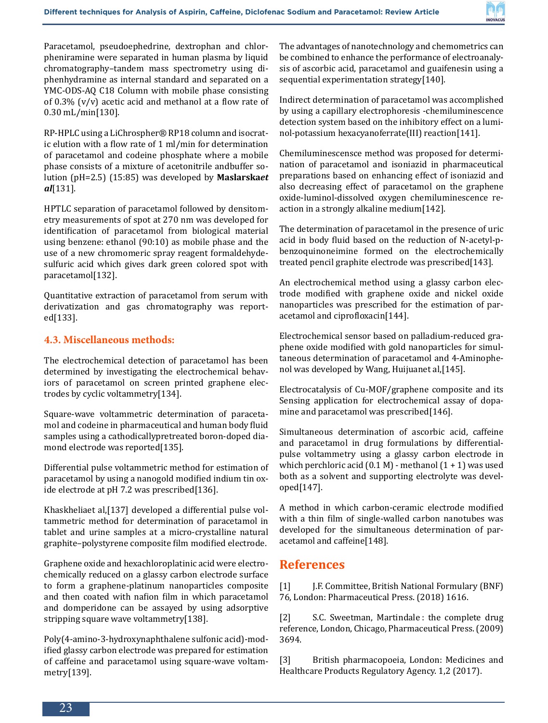

Paracetamol, pseudoephedrine, dextrophan and chlorpheniramine were separated in human plasma by liquid chromatography–tandem mass spectrometry using diphenhydramine as internal standard and separated on a YMC-ODS-AQ C18 Column with mobile phase consisting of 0.3% (v/v) acetic acid and methanol at a flow rate of 0.30 mL/min[130].

RP-HPLC using a LiChrospher® RP18 column and isocratic elution with a flow rate of 1 ml/min for determination of paracetamol and codeine phosphate where a mobile phase consists of a mixture of acetonitrile andbuffer solution (pH=2.5) (15:85) was developed by **Maslarska***et al*[131].

HPTLC separation of paracetamol followed by densitometry measurements of spot at 270 nm was developed for identification of paracetamol from biological material using benzene: ethanol (90:10) as mobile phase and the use of a new chromomeric spray reagent formaldehydesulfuric acid which gives dark green colored spot with paracetamol[132].

Quantitative extraction of paracetamol from serum with derivatization and gas chromatography was reported[133].

#### **4.3. Miscellaneous methods:**

The electrochemical detection of paracetamol has been determined by investigating the electrochemical behaviors of paracetamol on screen printed graphene electrodes by cyclic voltammetry[134].

Square-wave voltammetric determination of paracetamol and codeine in pharmaceutical and human body fluid samples using a cathodicallypretreated boron-doped diamond electrode was reported[135].

Differential pulse voltammetric method for estimation of paracetamol by using a nanogold modified indium tin oxide electrode at pH 7.2 was prescribed[136].

Khaskheliaet al,[137] developed a differential pulse voltammetric method for determination of paracetamol in tablet and urine samples at a micro-crystalline natural graphite–polystyrene composite film modified electrode.

Graphene oxide and hexachloroplatinic acid were electrochemically reduced on a glassy carbon electrode surface to form a graphene-platinum nanoparticles composite and then coated with nafion film in which paracetamol and domperidone can be assayed by using adsorptive stripping square wave voltammetry[138].

Poly(4-amino-3-hydroxynaphthalene sulfonic acid)-modified glassy carbon electrode was prepared for estimation of caffeine and paracetamol using square-wave voltammetry[139].

The advantages of nanotechnology and chemometrics can be combined to enhance the performance of electroanalysis of ascorbic acid, paracetamol and guaifenesin using a sequential experimentation strategy[140].

Indirect determination of paracetamol was accomplished by using a capillary electrophoresis -chemiluminescence detection system based on the inhibitory effect on a luminol-potassium hexacyanoferrate(III) reaction[141].

Chemiluminescensce method was proposed for determination of paracetamol and isoniazid in pharmaceutical preparations based on enhancing effect of isoniazid and also decreasing effect of paracetamol on the graphene oxide-luminol-dissolved oxygen chemiluminescence reaction in a strongly alkaline medium[142].

The determination of paracetamol in the presence of uric acid in body fluid based on the reduction of N-acetyl-pbenzoquinoneimine formed on the electrochemically treated pencil graphite electrode was prescribed[143].

An electrochemical method using a glassy carbon electrode modified with graphene oxide and nickel oxide nanoparticles was prescribed for the estimation of paracetamol and ciprofloxacin[144].

Electrochemical sensor based on palladium-reduced graphene oxide modified with gold nanoparticles for simultaneous determination of paracetamol and 4-Aminophenol was developed by Wang, Huijuanet al,[145].

Electrocatalysis of Cu-MOF/graphene composite and its Sensing application for electrochemical assay of dopamine and paracetamol was prescribed[146].

Simultaneous determination of ascorbic acid, caffeine and paracetamol in drug formulations by differentialpulse voltammetry using a glassy carbon electrode in which perchloric acid  $(0.1 M)$  - methanol  $(1 + 1)$  was used both as a solvent and supporting electrolyte was developed[147].

A method in which carbon-ceramic electrode modified with a thin film of single-walled carbon nanotubes was developed for the simultaneous determination of paracetamol and caffeine[148].

# **References**

[1] J.F. Committee, British National Formulary (BNF) 76, London: Pharmaceutical Press. (2018) 1616.

[2] S.C. Sweetman, Martindale : the complete drug reference, London, Chicago, Pharmaceutical Press. (2009) 3694.

[3] British pharmacopoeia, London: Medicines and Healthcare Products Regulatory Agency. 1,2 (2017).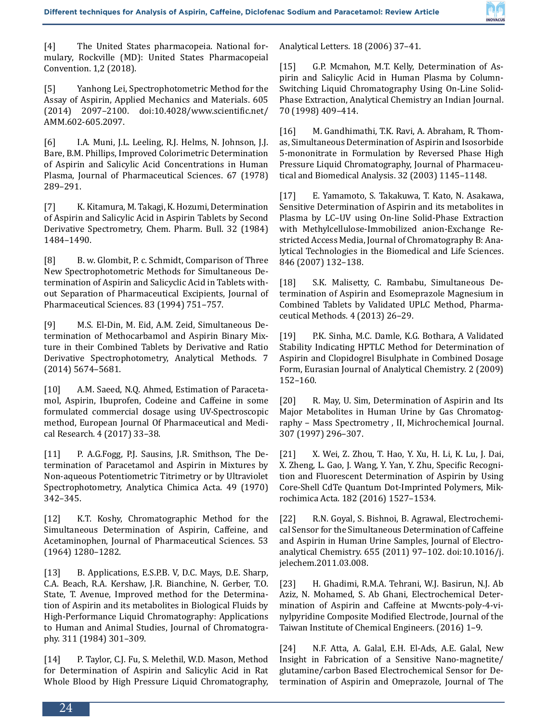

[4] The United States pharmacopeia. National formulary, Rockville (MD): United States Pharmacopeial Convention. 1,2 (2018).

[5] Yanhong Lei, Spectrophotometric Method for the Assay of Aspirin, Applied Mechanics and Materials. 605 (2014) 2097–2100. doi:10.4028/www.scientific.net/ AMM.602-605.2097.

[6] I.A. Muni, J.L. Leeling, R.J. Helms, N. Johnson, J.J. Bare, B.M. Phillips, Improved Colorimetric Determination of Aspirin and Salicylic Acid Concentrations in Human Plasma, Journal of Pharmaceutical Sciences. 67 (1978) 289–291.

[7] K. Kitamura, M. Takagi, K. Hozumi, Determination of Aspirin and Salicylic Acid in Aspirin Tablets by Second Derivative Spectrometry, Chem. Pharm. Bull. 32 (1984) 1484–1490.

[8] B. w. Glombit, P. c. Schmidt, Comparison of Three New Spectrophotometric Methods for Simultaneous Determination of Aspirin and Salicyclic Acid in Tablets without Separation of Pharmaceutical Excipients, Journal of Pharmaceutical Sciences. 83 (1994) 751–757.

[9] M.S. El-Din, M. Eid, A.M. Zeid, Simultaneous Determination of Methocarbamol and Aspirin Binary Mixture in their Combined Tablets by Derivative and Ratio Derivative Spectrophotometry, Analytical Methods. 7 (2014) 5674–5681.

[10] A.M. Saeed, N.Q. Ahmed, Estimation of Paracetamol, Aspirin, Ibuprofen, Codeine and Caffeine in some formulated commercial dosage using UV-Spectroscopic method, European Journal Of Pharmaceutical and Medical Research. 4 (2017) 33–38.

[11] P. A.G.Fogg, P.J. Sausins, J.R. Smithson, The Determination of Paracetamol and Aspirin in Mixtures by Non-aqueous Potentiometric Titrimetry or by Ultraviolet Spectrophotometry, Analytica Chimica Acta. 49 (1970) 342–345.

[12] K.T. Koshy, Chromatographic Method for the Simultaneous Determination of Aspirin, Caffeine, and Acetaminophen, Journal of Pharmaceutical Sciences. 53 (1964) 1280–1282.

[13] B. Applications, E.S.P.B. V, D.C. Mays, D.E. Sharp, C.A. Beach, R.A. Kershaw, J.R. Bianchine, N. Gerber, T.O. State, T. Avenue, Improved method for the Determination of Aspirin and its metabolites in Biological Fluids by High-Performance Liquid Chromatography: Applications to Human and Animal Studies, Journal of Chromatography. 311 (1984) 301–309.

[14] P. Taylor, C.J. Fu, S. Melethil, W.D. Mason, Method for Determination of Aspirin and Salicylic Acid in Rat Whole Blood by High Pressure Liquid Chromatography, Analytical Letters. 18 (2006) 37–41.

[15] G.P. Mcmahon, M.T. Kelly, Determination of Aspirin and Salicylic Acid in Human Plasma by Column-Switching Liquid Chromatography Using On-Line Solid-Phase Extraction, Analytical Chemistry an Indian Journal. 70 (1998) 409–414.

[16] M. Gandhimathi, T.K. Ravi, A. Abraham, R. Thomas, Simultaneous Determination of Aspirin and Isosorbide 5-mononitrate in Formulation by Reversed Phase High Pressure Liquid Chromatography, Journal of Pharmaceutical and Biomedical Analysis. 32 (2003) 1145–1148.

[17] E. Yamamoto, S. Takakuwa, T. Kato, N. Asakawa, Sensitive Determination of Aspirin and its metabolites in Plasma by LC–UV using On-line Solid-Phase Extraction with Methylcellulose-Immobilized anion-Exchange Restricted Access Media, Journal of Chromatography B: Analytical Technologies in the Biomedical and Life Sciences. 846 (2007) 132–138.

[18] S.K. Malisetty, C. Rambabu, Simultaneous Determination of Aspirin and Esomeprazole Magnesium in Combined Tablets by Validated UPLC Method, Pharmaceutical Methods. 4 (2013) 26–29.

[19] P.K. Sinha, M.C. Damle, K.G. Bothara, A Validated Stability Indicating HPTLC Method for Determination of Aspirin and Clopidogrel Bisulphate in Combined Dosage Form, Eurasian Journal of Analytical Chemistry. 2 (2009) 152–160.

[20] R. May, U. Sim, Determination of Aspirin and Its Major Metabolites in Human Urine by Gas Chromatography – Mass Spectrometry , II, Michrochemical Journal. 307 (1997) 296–307.

[21] X. Wei, Z. Zhou, T. Hao, Y. Xu, H. Li, K. Lu, J. Dai, X. Zheng, L. Gao, J. Wang, Y. Yan, Y. Zhu, Specific Recognition and Fluorescent Determination of Aspirin by Using Core-Shell CdTe Quantum Dot-Imprinted Polymers, Mikrochimica Acta. 182 (2016) 1527–1534.

[22] R.N. Goyal, S. Bishnoi, B. Agrawal, Electrochemical Sensor for the Simultaneous Determination of Caffeine and Aspirin in Human Urine Samples, Journal of Electroanalytical Chemistry. 655 (2011) 97–102. doi:10.1016/j. jelechem.2011.03.008.

[23] H. Ghadimi, R.M.A. Tehrani, W.J. Basirun, N.J. Ab Aziz, N. Mohamed, S. Ab Ghani, Electrochemical Determination of Aspirin and Caffeine at Mwcnts-poly-4-vinylpyridine Composite Modified Electrode, Journal of the Taiwan Institute of Chemical Engineers. (2016) 1–9.

[24] N.F. Atta, A. Galal, E.H. El-Ads, A.E. Galal, New Insight in Fabrication of a Sensitive Nano-magnetite/ glutamine/carbon Based Electrochemical Sensor for Determination of Aspirin and Omeprazole, Journal of The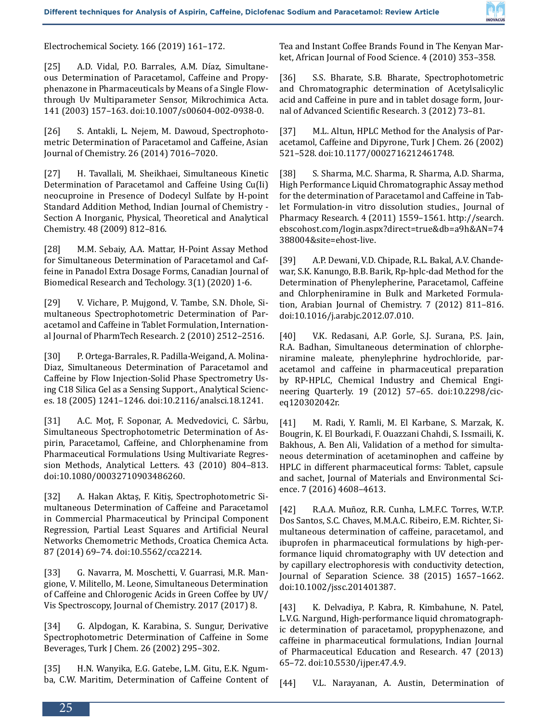

Electrochemical Society. 166 (2019) 161–172.

[25] A.D. Vidal, P.O. Barrales, A.M. Díaz, Simultaneous Determination of Paracetamol, Caffeine and Propyphenazone in Pharmaceuticals by Means of a Single Flowthrough Uv Multiparameter Sensor, Mikrochimica Acta. 141 (2003) 157–163. doi:10.1007/s00604-002-0938-0.

[26] S. Antakli, L. Nejem, M. Dawoud, Spectrophotometric Determination of Paracetamol and Caffeine, Asian Journal of Chemistry. 26 (2014) 7016–7020.

[27] H. Tavallali, M. Sheikhaei, Simultaneous Kinetic Determination of Paracetamol and Caffeine Using Cu(Ii) neocuproine in Presence of Dodecyl Sulfate by H-point Standard Addition Method, Indian Journal of Chemistry - Section A Inorganic, Physical, Theoretical and Analytical Chemistry. 48 (2009) 812–816.

[28] M.M. Sebaiy, A.A. Mattar, H-Point Assay Method for Simultaneous Determination of Paracetamol and Caffeine in Panadol Extra Dosage Forms, Canadian Journal of Biomedical Research and Techology. 3(1) (2020) 1-6.

[29] V. Vichare, P. Mujgond, V. Tambe, S.N. Dhole, Simultaneous Spectrophotometric Determination of Paracetamol and Caffeine in Tablet Formulation, International Journal of PharmTech Research. 2 (2010) 2512–2516.

[30] P. Ortega-Barrales, R. Padilla-Weigand, A. Molina-Diaz, Simultaneous Determination of Paracetamol and Caffeine by Flow Injection-Solid Phase Spectrometry Using C18 Silica Gel as a Sensing Support., Analytical Sciences. 18 (2005) 1241–1246. doi:10.2116/analsci.18.1241.

[31] A.C. Moţ, F. Soponar, A. Medvedovici, C. Sârbu, Simultaneous Spectrophotometric Determination of Aspirin, Paracetamol, Caffeine, and Chlorphenamine from Pharmaceutical Formulations Using Multivariate Regression Methods, Analytical Letters. 43 (2010) 804–813. doi:10.1080/00032710903486260.

[32] A. Hakan Aktaş, F. Kitiş, Spectrophotometric Simultaneous Determination of Caffeine and Paracetamol in Commercial Pharmaceutical by Principal Component Regression, Partial Least Squares and Artificial Neural Networks Chemometric Methods, Croatica Chemica Acta. 87 (2014) 69–74. doi:10.5562/cca2214.

[33] G. Navarra, M. Moschetti, V. Guarrasi, M.R. Mangione, V. Militello, M. Leone, Simultaneous Determination of Caffeine and Chlorogenic Acids in Green Coffee by UV/ Vis Spectroscopy, Journal of Chemistry. 2017 (2017) 8.

[34] G. Alpdogan, K. Karabina, S. Sungur, Derivative Spectrophotometric Determination of Caffeine in Some Beverages, Turk J Chem. 26 (2002) 295–302.

[35] H.N. Wanyika, E.G. Gatebe, L.M. Gitu, E.K. Ngumba, C.W. Maritim, Determination of Caffeine Content of Tea and Instant Coffee Brands Found in The Kenyan Market, African Journal of Food Science. 4 (2010) 353–358.

[36] S.S. Bharate, S.B. Bharate, Spectrophotometric and Chromatographic determination of Acetylsalicylic acid and Caffeine in pure and in tablet dosage form, Journal of Advanced Scientific Research. 3 (2012) 73–81.

[37] M.L. Altun, HPLC Method for the Analysis of Paracetamol, Caffeine and Dipyrone, Turk J Chem. 26 (2002) 521–528. doi:10.1177/0002716212461748.

[38] S. Sharma, M.C. Sharma, R. Sharma, A.D. Sharma, High Performance Liquid Chromatographic Assay method for the determination of Paracetamol and Caffeine in Tablet Formulation-in vitro dissolution studies., Journal of Pharmacy Research. 4 (2011) 1559–1561. http://search. ebscohost.com/login.aspx?direct=true&db=a9h&AN=74 388004&site=ehost-live.

[39] A.P. Dewani, V.D. Chipade, R.L. Bakal, A.V. Chandewar, S.K. Kanungo, B.B. Barik, Rp-hplc-dad Method for the Determination of Phenylepherine, Paracetamol, Caffeine and Chlorpheniramine in Bulk and Marketed Formulation, Arabian Journal of Chemistry. 7 (2012) 811–816. doi:10.1016/j.arabjc.2012.07.010.

[40] V.K. Redasani, A.P. Gorle, S.J. Surana, P.S. Jain, R.A. Badhan, Simultaneous determination of chlorpheniramine maleate, phenylephrine hydrochloride, paracetamol and caffeine in pharmaceutical preparation by RP-HPLC, Chemical Industry and Chemical Engineering Quarterly. 19 (2012) 57–65. doi:10.2298/ciceq120302042r.

[41] M. Radi, Y. Ramli, M. El Karbane, S. Marzak, K. Bougrin, K. El Bourkadi, F. Ouazzani Chahdi, S. Issmaili, K. Bakhous, A. Ben Ali, Validation of a method for simultaneous determination of acetaminophen and caffeine by HPLC in different pharmaceutical forms: Tablet, capsule and sachet, Journal of Materials and Environmental Science. 7 (2016) 4608–4613.

[42] R.A.A. Muñoz, R.R. Cunha, L.M.F.C. Torres, W.T.P. Dos Santos, S.C. Chaves, M.M.A.C. Ribeiro, E.M. Richter, Simultaneous determination of caffeine, paracetamol, and ibuprofen in pharmaceutical formulations by high-performance liquid chromatography with UV detection and by capillary electrophoresis with conductivity detection, Journal of Separation Science. 38 (2015) 1657–1662. doi:10.1002/jssc.201401387.

[43] K. Delvadiya, P. Kabra, R. Kimbahune, N. Patel, L.V.G. Nargund, High-performance liquid chromatographic determination of paracetamol, propyphenazone, and caffeine in pharmaceutical formulations, Indian Journal of Pharmaceutical Education and Research. 47 (2013) 65–72. doi:10.5530/ijper.47.4.9.

[44] V.L. Narayanan, A. Austin, Determination of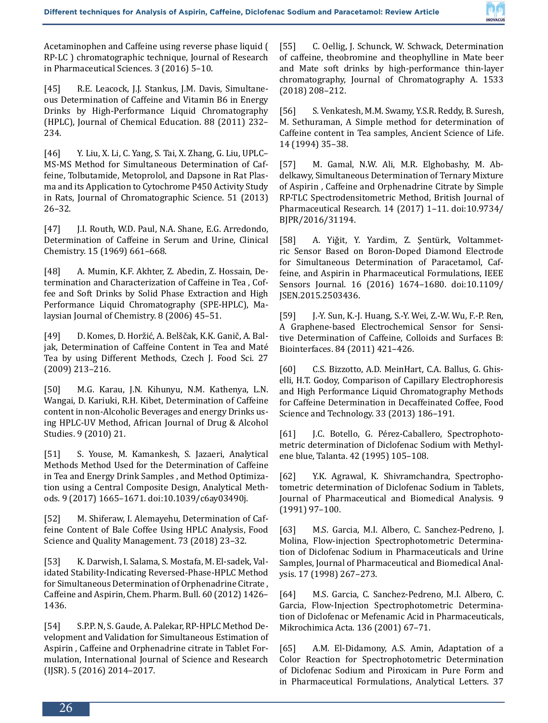

Acetaminophen and Caffeine using reverse phase liquid ( RP-LC ) chromatographic technique, Journal of Research in Pharmaceutical Sciences. 3 (2016) 5–10.

[45] R.E. Leacock, J.J. Stankus, J.M. Davis, Simultaneous Determination of Caffeine and Vitamin B6 in Energy Drinks by High-Performance Liquid Chromatography (HPLC), Journal of Chemical Education. 88 (2011) 232– 234.

[46] Y. Liu, X. Li, C. Yang, S. Tai, X. Zhang, G. Liu, UPLC– MS-MS Method for Simultaneous Determination of Caffeine, Tolbutamide, Metoprolol, and Dapsone in Rat Plasma and its Application to Cytochrome P450 Activity Study in Rats, Journal of Chromatographic Science. 51 (2013) 26–32.

[47] J.I. Routh, W.D. Paul, N.A. Shane, E.G. Arredondo, Determination of Caffeine in Serum and Urine, Clinical Chemistry. 15 (1969) 661–668.

[48] A. Mumin, K.F. Akhter, Z. Abedin, Z. Hossain, Determination and Characterization of Caffeine in Tea , Coffee and Soft Drinks by Solid Phase Extraction and High Performance Liquid Chromatography (SPE-HPLC), Malaysian Journal of Chemistry. 8 (2006) 45–51.

[49] D. Komes, D. Horžić, A. Belščak, K.K. Ganič, A. Baljak, Determination of Caffeine Content in Tea and Maté Tea by using Different Methods, Czech J. Food Sci. 27 (2009) 213–216.

[50] M.G. Karau, J.N. Kihunyu, N.M. Kathenya, L.N. Wangai, D. Kariuki, R.H. Kibet, Determination of Caffeine content in non-Alcoholic Beverages and energy Drinks using HPLC-UV Method, African Journal of Drug & Alcohol Studies. 9 (2010) 21.

[51] S. Youse, M. Kamankesh, S. Jazaeri, Analytical Methods Method Used for the Determination of Caffeine in Tea and Energy Drink Samples , and Method Optimization using a Central Composite Design, Analytical Methods. 9 (2017) 1665–1671. doi:10.1039/c6ay03490j.

[52] M. Shiferaw, I. Alemayehu, Determination of Caffeine Content of Bale Coffee Using HPLC Analysis, Food Science and Quality Management. 73 (2018) 23–32.

[53] K. Darwish, I. Salama, S. Mostafa, M. El-sadek, Validated Stability-Indicating Reversed-Phase-HPLC Method for Simultaneous Determination of Orphenadrine Citrate , Caffeine and Aspirin, Chem. Pharm. Bull. 60 (2012) 1426– 1436.

[54] S.P.P. N, S. Gaude, A. Palekar, RP-HPLC Method Development and Validation for Simultaneous Estimation of Aspirin , Caffeine and Orphenadrine citrate in Tablet Formulation, International Journal of Science and Research (IJSR). 5 (2016) 2014–2017.

[55] C. Oellig, J. Schunck, W. Schwack, Determination of caffeine, theobromine and theophylline in Mate beer and Mate soft drinks by high-performance thin-layer chromatography, Journal of Chromatography A. 1533 (2018) 208–212.

[56] S. Venkatesh, M.M. Swamy, Y.S.R. Reddy, B. Suresh, M. Sethuraman, A Simple method for determination of Caffeine content in Tea samples, Ancient Science of Life. 14 (1994) 35–38.

[57] M. Gamal, N.W. Ali, M.R. Elghobashy, M. Abdelkawy, Simultaneous Determination of Ternary Mixture of Aspirin , Caffeine and Orphenadrine Citrate by Simple RP-TLC Spectrodensitometric Method, British Journal of Pharmaceutical Research. 14 (2017) 1–11. doi:10.9734/ BJPR/2016/31194.

[58] A. Yiǧit, Y. Yardim, Z. Şentürk, Voltammetric Sensor Based on Boron-Doped Diamond Electrode for Simultaneous Determination of Paracetamol, Caffeine, and Aspirin in Pharmaceutical Formulations, IEEE Sensors Journal. 16 (2016) 1674–1680. doi:10.1109/ JSEN.2015.2503436.

[59] J.-Y. Sun, K.-J. Huang, S.-Y. Wei, Z.-W. Wu, F.-P. Ren, A Graphene-based Electrochemical Sensor for Sensitive Determination of Caffeine, Colloids and Surfaces B: Biointerfaces. 84 (2011) 421–426.

[60] C.S. Bizzotto, A.D. MeinHart, C.A. Ballus, G. Ghiselli, H.T. Godoy, Comparison of Capillary Electrophoresis and High Performance Liquid Chromatography Methods for Caffeine Determination in Decaffeinated Coffee, Food Science and Technology. 33 (2013) 186–191.

[61] J.C. Botello, G. Pérez-Caballero, Spectrophotometric determination of Diclofenac Sodium with Methylene blue, Talanta. 42 (1995) 105–108.

[62] Y.K. Agrawal, K. Shivramchandra, Spectrophotometric determination of Diclofenac Sodium in Tablets, Journal of Pharmaceutical and Biomedical Analysis. 9 (1991) 97–100.

[63] M.S. Garcia, M.I. Albero, C. Sanchez-Pedreno, J. Molina, Flow-injection Spectrophotometric Determination of Diclofenac Sodium in Pharmaceuticals and Urine Samples, Journal of Pharmaceutical and Biomedical Analysis. 17 (1998) 267–273.

[64] M.S. Garcia, C. Sanchez-Pedreno, M.I. Albero, C. Garcia, Flow-Injection Spectrophotometric Determination of Diclofenac or Mefenamic Acid in Pharmaceuticals, Mikrochimica Acta. 136 (2001) 67–71.

[65] A.M. El-Didamony, A.S. Amin, Adaptation of a Color Reaction for Spectrophotometric Determination of Diclofenac Sodium and Piroxicam in Pure Form and in Pharmaceutical Formulations, Analytical Letters. 37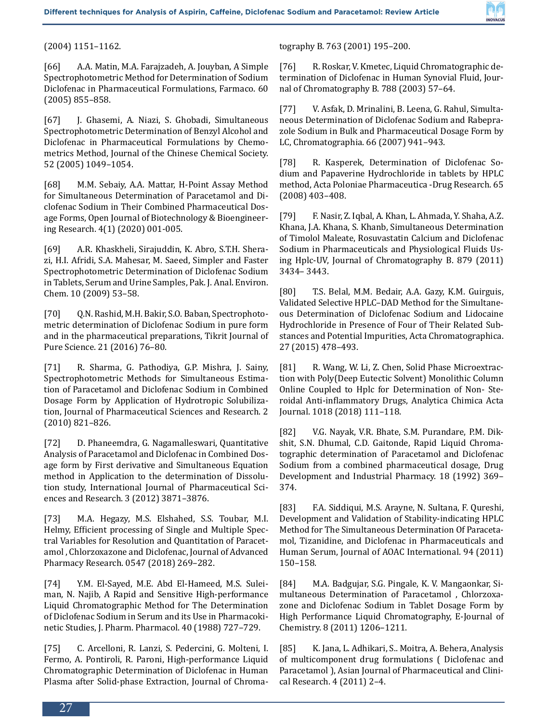

(2004) 1151–1162.

[66] A.A. Matin, M.A. Farajzadeh, A. Jouyban, A Simple Spectrophotometric Method for Determination of Sodium Diclofenac in Pharmaceutical Formulations, Farmaco. 60 (2005) 855–858.

[67] J. Ghasemi, A. Niazi, S. Ghobadi, Simultaneous Spectrophotometric Determination of Benzyl Alcohol and Diclofenac in Pharmaceutical Formulations by Chemometrics Method, Journal of the Chinese Chemical Society. 52 (2005) 1049–1054.

[68] M.M. Sebaiy, A.A. Mattar, H-Point Assay Method for Simultaneous Determination of Paracetamol and Diclofenac Sodium in Their Combined Pharmaceutical Dosage Forms, Open Journal of Biotechnology & Bioengineering Research. 4(1) (2020) 001-005.

[69] A.R. Khaskheli, Sirajuddin, K. Abro, S.T.H. Sherazi, H.I. Afridi, S.A. Mahesar, M. Saeed, Simpler and Faster Spectrophotometric Determination of Diclofenac Sodium in Tablets, Serum and Urine Samples, Pak. J. Anal. Environ. Chem. 10 (2009) 53–58.

[70] Q.N. Rashid, M.H. Bakir, S.O. Baban, Spectrophotometric determination of Diclofenac Sodium in pure form and in the pharmaceutical preparations, Tikrit Journal of Pure Science. 21 (2016) 76–80.

[71] R. Sharma, G. Pathodiya, G.P. Mishra, J. Sainy, Spectrophotometric Methods for Simultaneous Estimation of Paracetamol and Diclofenac Sodium in Combined Dosage Form by Application of Hydrotropic Solubilization, Journal of Pharmaceutical Sciences and Research. 2 (2010) 821–826.

[72] D. Phaneemdra, G. Nagamalleswari, Quantitative Analysis of Paracetamol and Diclofenac in Combined Dosage form by First derivative and Simultaneous Equation method in Application to the determination of Dissolution study, International Journal of Pharmaceutical Sciences and Research. 3 (2012) 3871–3876.

[73] M.A. Hegazy, M.S. Elshahed, S.S. Toubar, M.I. Helmy, Efficient processing of Single and Multiple Spectral Variables for Resolution and Quantitation of Paracetamol , Chlorzoxazone and Diclofenac, Journal of Advanced Pharmacy Research. 0547 (2018) 269–282.

[74] Y.M. El-Sayed, M.E. Abd El-Hameed, M.S. Suleiman, N. Najib, A Rapid and Sensitive High-performance Liquid Chromatographic Method for The Determination of Diclofenac Sodium in Serum and its Use in Pharmacokinetic Studies, J. Pharm. Pharmacol. 40 (1988) 727–729.

[75] C. Arcelloni, R. Lanzi, S. Pedercini, G. Molteni, I. Fermo, A. Pontiroli, R. Paroni, High-performance Liquid Chromatographic Determination of Diclofenac in Human Plasma after Solid-phase Extraction, Journal of Chromatography B. 763 (2001) 195–200.

[76] R. Roskar, V. Kmetec, Liquid Chromatographic determination of Diclofenac in Human Synovial Fluid, Journal of Chromatography B. 788 (2003) 57–64.

[77] V. Asfak, D. Mrinalini, B. Leena, G. Rahul, Simultaneous Determination of Diclofenac Sodium and Rabeprazole Sodium in Bulk and Pharmaceutical Dosage Form by LC, Chromatographia. 66 (2007) 941–943.

[78] R. Kasperek, Determination of Diclofenac Sodium and Papaverine Hydrochloride in tablets by HPLC method, Acta Poloniae Pharmaceutica -Drug Research. 65 (2008) 403–408.

[79] F. Nasir, Z. Iqbal, A. Khan, L. Ahmada, Y. Shaha, A.Z. Khana, J.A. Khana, S. Khanb, Simultaneous Determination of Timolol Maleate, Rosuvastatin Calcium and Diclofenac Sodium in Pharmaceuticals and Physiological Fluids Using Hplc-UV, Journal of Chromatography B. 879 (2011) 3434– 3443.

[80] T.S. Belal, M.M. Bedair, A.A. Gazy, K.M. Guirguis, Validated Selective HPLC–DAD Method for the Simultaneous Determination of Diclofenac Sodium and Lidocaine Hydrochloride in Presence of Four of Their Related Substances and Potential Impurities, Acta Chromatographica. 27 (2015) 478–493.

[81] R. Wang, W. Li, Z. Chen, Solid Phase Microextraction with Poly(Deep Eutectic Solvent) Monolithic Column Online Coupled to Hplc for Determination of Non- Steroidal Anti-inflammatory Drugs, Analytica Chimica Acta Journal. 1018 (2018) 111–118.

[82] V.G. Nayak, V.R. Bhate, S.M. Purandare, P.M. Dikshit, S.N. Dhumal, C.D. Gaitonde, Rapid Liquid Chromatographic determination of Paracetamol and Diclofenac Sodium from a combined pharmaceutical dosage, Drug Development and Industrial Pharmacy. 18 (1992) 369– 374.

[83] F.A. Siddiqui, M.S. Arayne, N. Sultana, F. Qureshi, Development and Validation of Stability-indicating HPLC Method for The Simultaneous Determination Of Paracetamol, Tizanidine, and Diclofenac in Pharmaceuticals and Human Serum, Journal of AOAC International. 94 (2011) 150–158.

[84] M.A. Badgujar, S.G. Pingale, K. V. Mangaonkar, Simultaneous Determination of Paracetamol , Chlorzoxazone and Diclofenac Sodium in Tablet Dosage Form by High Performance Liquid Chromatography, E-Journal of Chemistry. 8 (2011) 1206–1211.

[85] K. Jana, L. Adhikari, S.. Moitra, A. Behera, Analysis of multicomponent drug formulations ( Diclofenac and Paracetamol ), Asian Journal of Pharmaceutical and Clinical Research. 4 (2011) 2–4.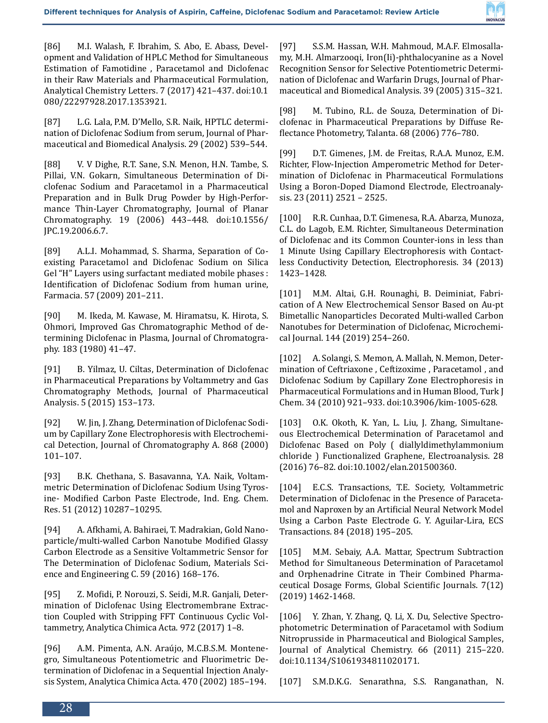

[86] M.I. Walash, F. Ibrahim, S. Abo, E. Abass, Development and Validation of HPLC Method for Simultaneous Estimation of Famotidine , Paracetamol and Diclofenac in their Raw Materials and Pharmaceutical Formulation, Analytical Chemistry Letters. 7 (2017) 421–437. doi:10.1 080/22297928.2017.1353921.

[87] L.G. Lala, P.M. D'Mello, S.R. Naik, HPTLC determination of Diclofenac Sodium from serum, Journal of Pharmaceutical and Biomedical Analysis. 29 (2002) 539–544.

[88] V. V Dighe, R.T. Sane, S.N. Menon, H.N. Tambe, S. Pillai, V.N. Gokarn, Simultaneous Determination of Diclofenac Sodium and Paracetamol in a Pharmaceutical Preparation and in Bulk Drug Powder by High-Performance Thin-Layer Chromatography, Journal of Planar Chromatography. 19 (2006) 443–448. doi:10.1556/ JPC.19.2006.6.7.

[89] A.L.I. Mohammad, S. Sharma, Separation of Coexisting Paracetamol and Diclofenac Sodium on Silica Gel "H" Layers using surfactant mediated mobile phases : Identification of Diclofenac Sodium from human urine, Farmacia. 57 (2009) 201–211.

[90] M. Ikeda, M. Kawase, M. Hiramatsu, K. Hirota, S. Ohmori, Improved Gas Chromatographic Method of determining Diclofenac in Plasma, Journal of Chromatography. 183 (1980) 41–47.

[91] B. Yilmaz, U. Ciltas, Determination of Diclofenac in Pharmaceutical Preparations by Voltammetry and Gas Chromatography Methods, Journal of Pharmaceutical Analysis. 5 (2015) 153–173.

[92] W. Jin, J. Zhang, Determination of Diclofenac Sodium by Capillary Zone Electrophoresis with Electrochemical Detection, Journal of Chromatography A. 868 (2000) 101–107.

[93] B.K. Chethana, S. Basavanna, Y.A. Naik, Voltammetric Determination of Diclofenac Sodium Using Tyrosine- Modified Carbon Paste Electrode, Ind. Eng. Chem. Res. 51 (2012) 10287−10295.

[94] A. Afkhami, A. Bahiraei, T. Madrakian, Gold Nanoparticle/multi-walled Carbon Nanotube Modified Glassy Carbon Electrode as a Sensitive Voltammetric Sensor for The Determination of Diclofenac Sodium, Materials Science and Engineering C. 59 (2016) 168–176.

[95] Z. Mofidi, P. Norouzi, S. Seidi, M.R. Ganjali, Determination of Diclofenac Using Electromembrane Extraction Coupled with Stripping FFT Continuous Cyclic Voltammetry, Analytica Chimica Acta. 972 (2017) 1–8.

[96] A.M. Pimenta, A.N. Araújo, M.C.B.S.M. Montenegro, Simultaneous Potentiometric and Fluorimetric Determination of Diclofenac in a Sequential Injection Analysis System, Analytica Chimica Acta. 470 (2002) 185–194. [97] S.S.M. Hassan, W.H. Mahmoud, M.A.F. Elmosallamy, M.H. Almarzooqi, Iron(Ii)-phthalocyanine as a Novel Recognition Sensor for Selective Potentiometric Determination of Diclofenac and Warfarin Drugs, Journal of Pharmaceutical and Biomedical Analysis. 39 (2005) 315–321.

[98] M. Tubino, R.L. de Souza, Determination of Diclofenac in Pharmaceutical Preparations by Diffuse Reflectance Photometry, Talanta. 68 (2006) 776–780.

[99] D.T. Gimenes, J.M. de Freitas, R.A.A. Munoz, E.M. Richter, Flow-Injection Amperometric Method for Determination of Diclofenac in Pharmaceutical Formulations Using a Boron-Doped Diamond Electrode, Electroanalysis. 23 (2011) 2521 – 2525.

[100] R.R. Cunhaa, D.T. Gimenesa, R.A. Abarza, Munoza, C.L. do Lagob, E.M. Richter, Simultaneous Determination of Diclofenac and its Common Counter-ions in less than 1 Minute Using Capillary Electrophoresis with Contactless Conductivity Detection, Electrophoresis. 34 (2013) 1423–1428.

[101] M.M. Altai, G.H. Rounaghi, B. Deiminiat, Fabrication of A New Electrochemical Sensor Based on Au-pt Bimetallic Nanoparticles Decorated Multi-walled Carbon Nanotubes for Determination of Diclofenac, Microchemical Journal. 144 (2019) 254–260.

[102] A. Solangi, S. Memon, A. Mallah, N. Memon, Determination of Ceftriaxone , Ceftizoxime , Paracetamol , and Diclofenac Sodium by Capillary Zone Electrophoresis in Pharmaceutical Formulations and in Human Blood, Turk J Chem. 34 (2010) 921–933. doi:10.3906/kim-1005-628.

[103] O.K. Okoth, K. Yan, L. Liu, J. Zhang, Simultaneous Electrochemical Determination of Paracetamol and Diclofenac Based on Poly ( diallyldimethylammonium chloride ) Functionalized Graphene, Electroanalysis. 28 (2016) 76–82. doi:10.1002/elan.201500360.

[104] E.C.S. Transactions, T.E. Society, Voltammetric Determination of Diclofenac in the Presence of Paracetamol and Naproxen by an Artificial Neural Network Model Using a Carbon Paste Electrode G. Y. Aguilar-Lira, ECS Transactions. 84 (2018) 195–205.

[105] M.M. Sebaiy, A.A. Mattar, Spectrum Subtraction Method for Simultaneous Determination of Paracetamol and Orphenadrine Citrate in Their Combined Pharmaceutical Dosage Forms, Global Scientific Journals. 7(12) (2019) 1462-1468.

[106] Y. Zhan, Y. Zhang, Q. Li, X. Du, Selective Spectrophotometric Determination of Paracetamol with Sodium Nitroprusside in Pharmaceutical and Biological Samples, Journal of Analytical Chemistry. 66 (2011) 215–220. doi:10.1134/S1061934811020171.

[107] S.M.D.K.G. Senarathna, S.S. Ranganathan, N.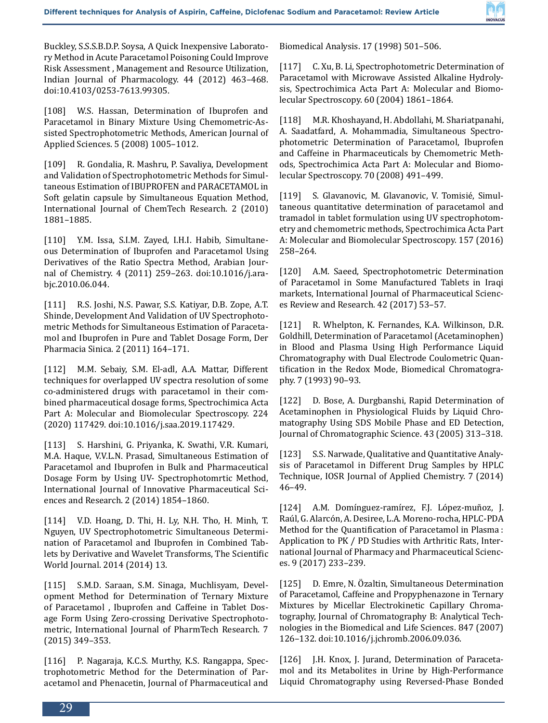

Buckley, S.S.S.B.D.P. Soysa, A Quick Inexpensive Laboratory Method in Acute Paracetamol Poisoning Could Improve Risk Assessment , Management and Resource Utilization, Indian Journal of Pharmacology. 44 (2012) 463–468. doi:10.4103/0253-7613.99305.

[108] W.S. Hassan, Determination of Ibuprofen and Paracetamol in Binary Mixture Using Chemometric-Assisted Spectrophotometric Methods, American Journal of Applied Sciences. 5 (2008) 1005–1012.

[109] R. Gondalia, R. Mashru, P. Savaliya, Development and Validation of Spectrophotometric Methods for Simultaneous Estimation of IBUPROFEN and PARACETAMOL in Soft gelatin capsule by Simultaneous Equation Method, International Journal of ChemTech Research. 2 (2010) 1881–1885.

[110] Y.M. Issa, S.I.M. Zayed, I.H.I. Habib, Simultaneous Determination of Ibuprofen and Paracetamol Using Derivatives of the Ratio Spectra Method, Arabian Journal of Chemistry. 4 (2011) 259–263. doi:10.1016/j.arabjc.2010.06.044.

[111] R.S. Joshi, N.S. Pawar, S.S. Katiyar, D.B. Zope, A.T. Shinde, Development And Validation of UV Spectrophotometric Methods for Simultaneous Estimation of Paracetamol and Ibuprofen in Pure and Tablet Dosage Form, Der Pharmacia Sinica. 2 (2011) 164–171.

[112] M.M. Sebaiy, S.M. El-adl, A.A. Mattar, Different techniques for overlapped UV spectra resolution of some co-administered drugs with paracetamol in their combined pharmaceutical dosage forms, Spectrochimica Acta Part A: Molecular and Biomolecular Spectroscopy. 224 (2020) 117429. doi:10.1016/j.saa.2019.117429.

[113] S. Harshini, G. Priyanka, K. Swathi, V.R. Kumari, M.A. Haque, V.V.L.N. Prasad, Simultaneous Estimation of Paracetamol and Ibuprofen in Bulk and Pharmaceutical Dosage Form by Using UV- Spectrophotomrtic Method, International Journal of Innovative Pharmaceutical Sciences and Research. 2 (2014) 1854–1860.

[114] V.D. Hoang, D. Thi, H. Ly, N.H. Tho, H. Minh, T. Nguyen, UV Spectrophotometric Simultaneous Determination of Paracetamol and Ibuprofen in Combined Tablets by Derivative and Wavelet Transforms, The Scientific World Journal. 2014 (2014) 13.

[115] S.M.D. Saraan, S.M. Sinaga, Muchlisyam, Development Method for Determination of Ternary Mixture of Paracetamol , Ibuprofen and Caffeine in Tablet Dosage Form Using Zero-crossing Derivative Spectrophotometric, International Journal of PharmTech Research. 7 (2015) 349–353.

[116] P. Nagaraja, K.C.S. Murthy, K.S. Rangappa, Spectrophotometric Method for the Determination of Paracetamol and Phenacetin, Journal of Pharmaceutical and Biomedical Analysis. 17 (1998) 501–506.

[117] C. Xu, B. Li, Spectrophotometric Determination of Paracetamol with Microwave Assisted Alkaline Hydrolysis, Spectrochimica Acta Part A: Molecular and Biomolecular Spectroscopy. 60 (2004) 1861–1864.

[118] M.R. Khoshayand, H. Abdollahi, M. Shariatpanahi, A. Saadatfard, A. Mohammadia, Simultaneous Spectrophotometric Determination of Paracetamol, Ibuprofen and Caffeine in Pharmaceuticals by Chemometric Methods, Spectrochimica Acta Part A: Molecular and Biomolecular Spectroscopy. 70 (2008) 491–499.

[119] S. Glavanovic, M. Glavanovic, V. Tomisié, Simultaneous quantitative determination of paracetamol and tramadol in tablet formulation using UV spectrophotometry and chemometric methods, Spectrochimica Acta Part A: Molecular and Biomolecular Spectroscopy. 157 (2016) 258–264.

[120] A.M. Saeed, Spectrophotometric Determination of Paracetamol in Some Manufactured Tablets in Iraqi markets, International Journal of Pharmaceutical Sciences Review and Research. 42 (2017) 53–57.

[121] R. Whelpton, K. Fernandes, K.A. Wilkinson, D.R. Goldhill, Determination of Paracetamol (Acetaminophen) in Blood and Plasma Using High Performance Liquid Chromatography with Dual Electrode Coulometric Quantification in the Redox Mode, Biomedical Chromatography. 7 (1993) 90–93.

[122] D. Bose, A. Durgbanshi, Rapid Determination of Acetaminophen in Physiological Fluids by Liquid Chromatography Using SDS Mobile Phase and ED Detection, Journal of Chromatographic Science. 43 (2005) 313–318.

[123] S.S. Narwade, Qualitative and Quantitative Analysis of Paracetamol in Different Drug Samples by HPLC Technique, IOSR Journal of Applied Chemistry. 7 (2014) 46–49.

[124] A.M. Domínguez-ramírez, F.J. López-muñoz, J. Raúl, G. Alarcón, A. Desiree, L.A. Moreno-rocha, HPLC-PDA Method for the Quantification of Paracetamol in Plasma : Application to PK / PD Studies with Arthritic Rats, International Journal of Pharmacy and Pharmaceutical Sciences. 9 (2017) 233–239.

[125] D. Emre, N. Özaltin, Simultaneous Determination of Paracetamol, Caffeine and Propyphenazone in Ternary Mixtures by Micellar Electrokinetic Capillary Chromatography, Journal of Chromatography B: Analytical Technologies in the Biomedical and Life Sciences. 847 (2007) 126–132. doi:10.1016/j.jchromb.2006.09.036.

[126] J.H. Knox, J. Jurand, Determination of Paracetamol and its Metabolites in Urine by High-Performance Liquid Chromatography using Reversed-Phase Bonded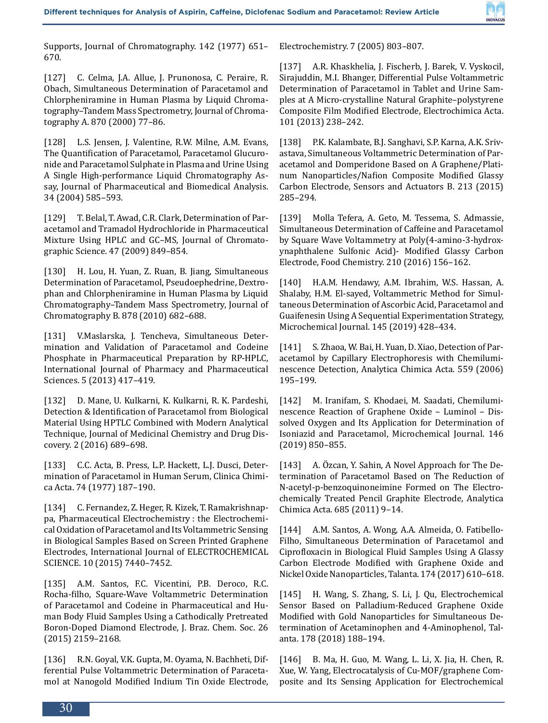

Supports, JournaI of Chromatography. 142 (1977) 651– 670.

[127] C. Celma, J.A. Allue, J. Prunonosa, C. Peraire, R. Obach, Simultaneous Determination of Paracetamol and Chlorpheniramine in Human Plasma by Liquid Chromatography–Tandem Mass Spectrometry, Journal of Chromatography A. 870 (2000) 77–86.

[128] L.S. Jensen, J. Valentine, R.W. Milne, A.M. Evans, The Quantification of Paracetamol, Paracetamol Glucuronide and Paracetamol Sulphate in Plasma and Urine Using A Single High-performance Liquid Chromatography Assay, Journal of Pharmaceutical and Biomedical Analysis. 34 (2004) 585–593.

[129] T. Belal, T. Awad, C.R. Clark, Determination of Paracetamol and Tramadol Hydrochloride in Pharmaceutical Mixture Using HPLC and GC–MS, Journal of Chromatographic Science. 47 (2009) 849–854.

[130] H. Lou, H. Yuan, Z. Ruan, B. Jiang, Simultaneous Determination of Paracetamol, Pseudoephedrine, Dextrophan and Chlorpheniramine in Human Plasma by Liquid Chromatography–Tandem Mass Spectrometry, Journal of Chromatography B. 878 (2010) 682–688.

[131] V.Maslarska, J. Tencheva, Simultaneous Determination and Validation of Paracetamol and Codeine Phosphate in Pharmaceutical Preparation by RP-HPLC, International Journal of Pharmacy and Pharmaceutical Sciences. 5 (2013) 417–419.

[132] D. Mane, U. Kulkarni, K. Kulkarni, R. K. Pardeshi, Detection & Identification of Paracetamol from Biological Material Using HPTLC Combined with Modern Analytical Technique, Journal of Medicinal Chemistry and Drug Discovery. 2 (2016) 689–698.

[133] C.C. Acta, B. Press, L.P. Hackett, L.J. Dusci, Determination of Paracetamol in Human Serum, Clinica Chimica Acta. 74 (1977) 187–190.

[134] C. Fernandez, Z. Heger, R. Kizek, T. Ramakrishnappa, Pharmaceutical Electrochemistry : the Electrochemical Oxidation of Paracetamol and Its Voltammetric Sensing in Biological Samples Based on Screen Printed Graphene Electrodes, International Journal of ELECTROCHEMICAL SCIENCE. 10 (2015) 7440–7452.

[135] A.M. Santos, F.C. Vicentini, P.B. Deroco, R.C. Rocha-filho, Square-Wave Voltammetric Determination of Paracetamol and Codeine in Pharmaceutical and Human Body Fluid Samples Using a Cathodically Pretreated Boron-Doped Diamond Electrode, J. Braz. Chem. Soc. 26 (2015) 2159–2168.

[136] R.N. Goyal, V.K. Gupta, M. Oyama, N. Bachheti, Differential Pulse Voltammetric Determination of Paracetamol at Nanogold Modified Indium Tin Oxide Electrode, Electrochemistry. 7 (2005) 803–807.

[137] A.R. Khaskhelia, J. Fischerb, J. Barek, V. Vyskocil, Sirajuddin, M.I. Bhanger, Differential Pulse Voltammetric Determination of Paracetamol in Tablet and Urine Samples at A Micro-crystalline Natural Graphite–polystyrene Composite Film Modified Electrode, Electrochimica Acta. 101 (2013) 238–242.

[138] P.K. Kalambate, B.J. Sanghavi, S.P. Karna, A.K. Srivastava, Simultaneous Voltammetric Determination of Paracetamol and Domperidone Based on A Graphene/Platinum Nanoparticles/Nafion Composite Modified Glassy Carbon Electrode, Sensors and Actuators B. 213 (2015) 285–294.

[139] Molla Tefera, A. Geto, M. Tessema, S. Admassie, Simultaneous Determination of Caffeine and Paracetamol by Square Wave Voltammetry at Poly(4-amino-3-hydroxynaphthalene Sulfonic Acid)- Modified Glassy Carbon Electrode, Food Chemistry. 210 (2016) 156–162.

[140] H.A.M. Hendawy, A.M. Ibrahim, W.S. Hassan, A. Shalaby, H.M. El-sayed, Voltammetric Method for Simultaneous Determination of Ascorbic Acid, Paracetamol and Guaifenesin Using A Sequential Experimentation Strategy, Microchemical Journal. 145 (2019) 428–434.

[141] S. Zhaoa, W. Bai, H. Yuan, D. Xiao, Detection of Paracetamol by Capillary Electrophoresis with Chemiluminescence Detection, Analytica Chimica Acta. 559 (2006) 195–199.

[142] M. Iranifam, S. Khodaei, M. Saadati, Chemiluminescence Reaction of Graphene Oxide – Luminol – Dissolved Oxygen and Its Application for Determination of Isoniazid and Paracetamol, Microchemical Journal. 146 (2019) 850–855.

[143] A. Özcan, Y. Sahin, A Novel Approach for The Determination of Paracetamol Based on The Reduction of N-acetyl-p-benzoquinoneimine Formed on The Electrochemically Treated Pencil Graphite Electrode, Analytica Chimica Acta. 685 (2011) 9–14.

[144] A.M. Santos, A. Wong, A.A. Almeida, O. Fatibello-Filho, Simultaneous Determination of Paracetamol and Ciprofloxacin in Biological Fluid Samples Using A Glassy Carbon Electrode Modified with Graphene Oxide and Nickel Oxide Nanoparticles, Talanta. 174 (2017) 610–618.

[145] H. Wang, S. Zhang, S. Li, J. Qu, Electrochemical Sensor Based on Palladium-Reduced Graphene Oxide Modified with Gold Nanoparticles for Simultaneous Determination of Acetaminophen and 4-Aminophenol, Talanta. 178 (2018) 188–194.

[146] B. Ma, H. Guo, M. Wang, L. Li, X. Jia, H. Chen, R. Xue, W. Yang, Electrocatalysis of Cu-MOF/graphene Composite and Its Sensing Application for Electrochemical